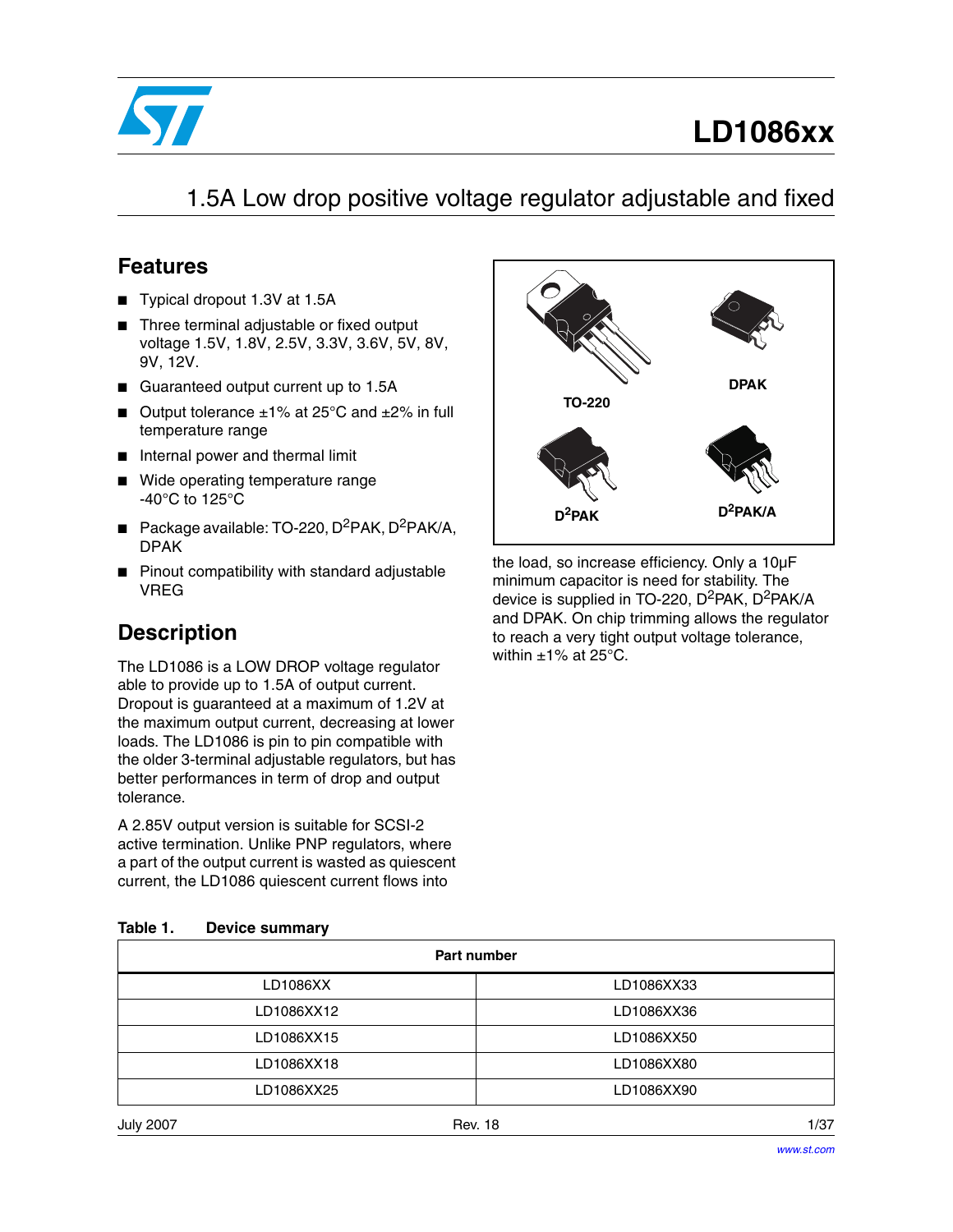

# **LD1086xx**

### 1.5A Low drop positive voltage regulator adjustable and fixed

### **Features**

- Typical dropout 1.3V at 1.5A
- Three terminal adjustable or fixed output voltage 1.5V, 1.8V, 2.5V, 3.3V, 3.6V, 5V, 8V, 9V, 12V.
- Guaranteed output current up to 1.5A
- Output tolerance  $±1\%$  at 25°C and  $±2\%$  in full temperature range
- Internal power and thermal limit
- Wide operating temperature range -40°C to 125°C
- **■** Package available: TO-220,  $D^2PAK$ ,  $D^2PAK/A$ , DPAK
- Pinout compatibility with standard adjustable VREG

### **Description**

The LD1086 is a LOW DROP voltage regulator able to provide up to 1.5A of output current. Dropout is guaranteed at a maximum of 1.2V at the maximum output current, decreasing at lower loads. The LD1086 is pin to pin compatible with the older 3-terminal adjustable regulators, but has better performances in term of drop and output tolerance.

A 2.85V output version is suitable for SCSI-2 active termination. Unlike PNP regulators, where a part of the output current is wasted as quiescent current, the LD1086 quiescent current flows into



the load, so increase efficiency. Only a 10µF minimum capacitor is need for stability. The device is supplied in TO-220, D<sup>2</sup>PAK, D<sup>2</sup>PAK/A and DPAK. On chip trimming allows the regulator to reach a very tight output voltage tolerance, within  $\pm 1\%$  at 25°C.

|            | Part number |
|------------|-------------|
| LD1086XX   | LD1086XX33  |
| LD1086XX12 | LD1086XX36  |
| LD1086XX15 | LD1086XX50  |
| LD1086XX18 | LD1086XX80  |
| LD1086XX25 | LD1086XX90  |

### **Table 1. Device summary**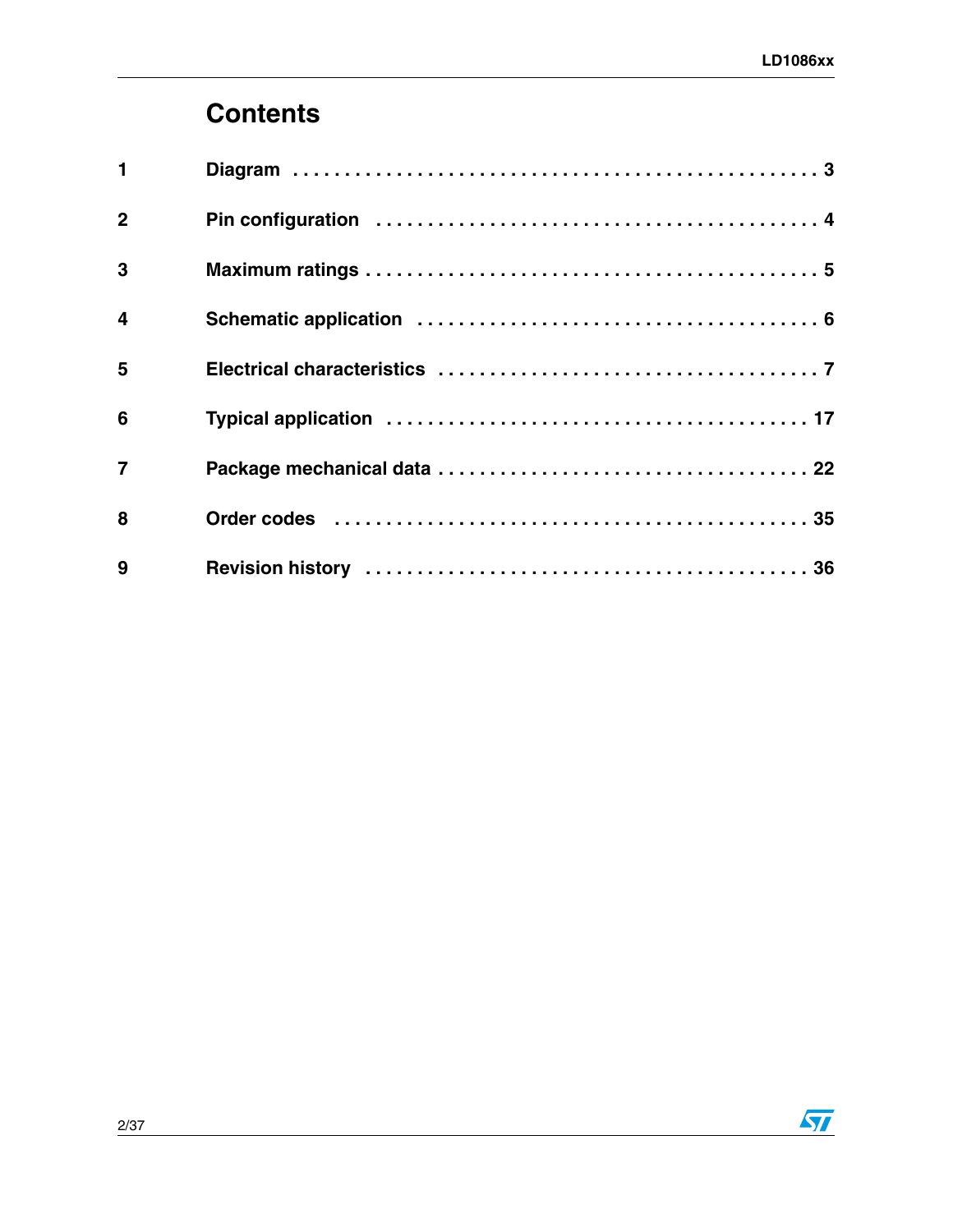# **[Contents](#page-2-0)**

| $\blacksquare$          |                                                                                                                |  |
|-------------------------|----------------------------------------------------------------------------------------------------------------|--|
| $\overline{2}$          |                                                                                                                |  |
| 3                       |                                                                                                                |  |
| $\overline{\mathbf{4}}$ |                                                                                                                |  |
| 5                       |                                                                                                                |  |
| 6                       |                                                                                                                |  |
| $\overline{7}$          |                                                                                                                |  |
| 8                       | Order codes (and all and all and all and all and all and all and all and all and all and all and all and all a |  |
| 9                       |                                                                                                                |  |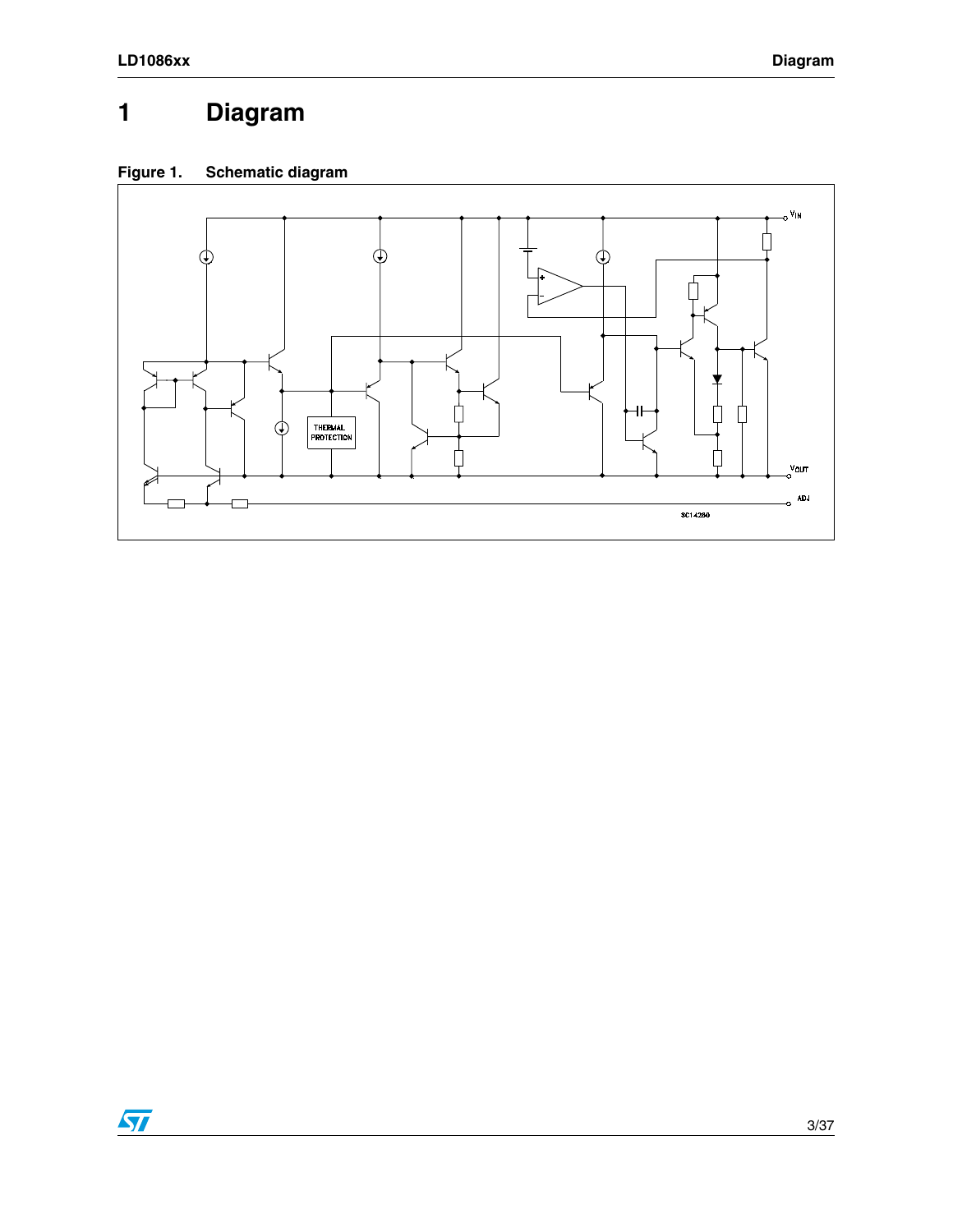# <span id="page-2-0"></span>**1 Diagram**

### **Figure 1. Schematic diagram**

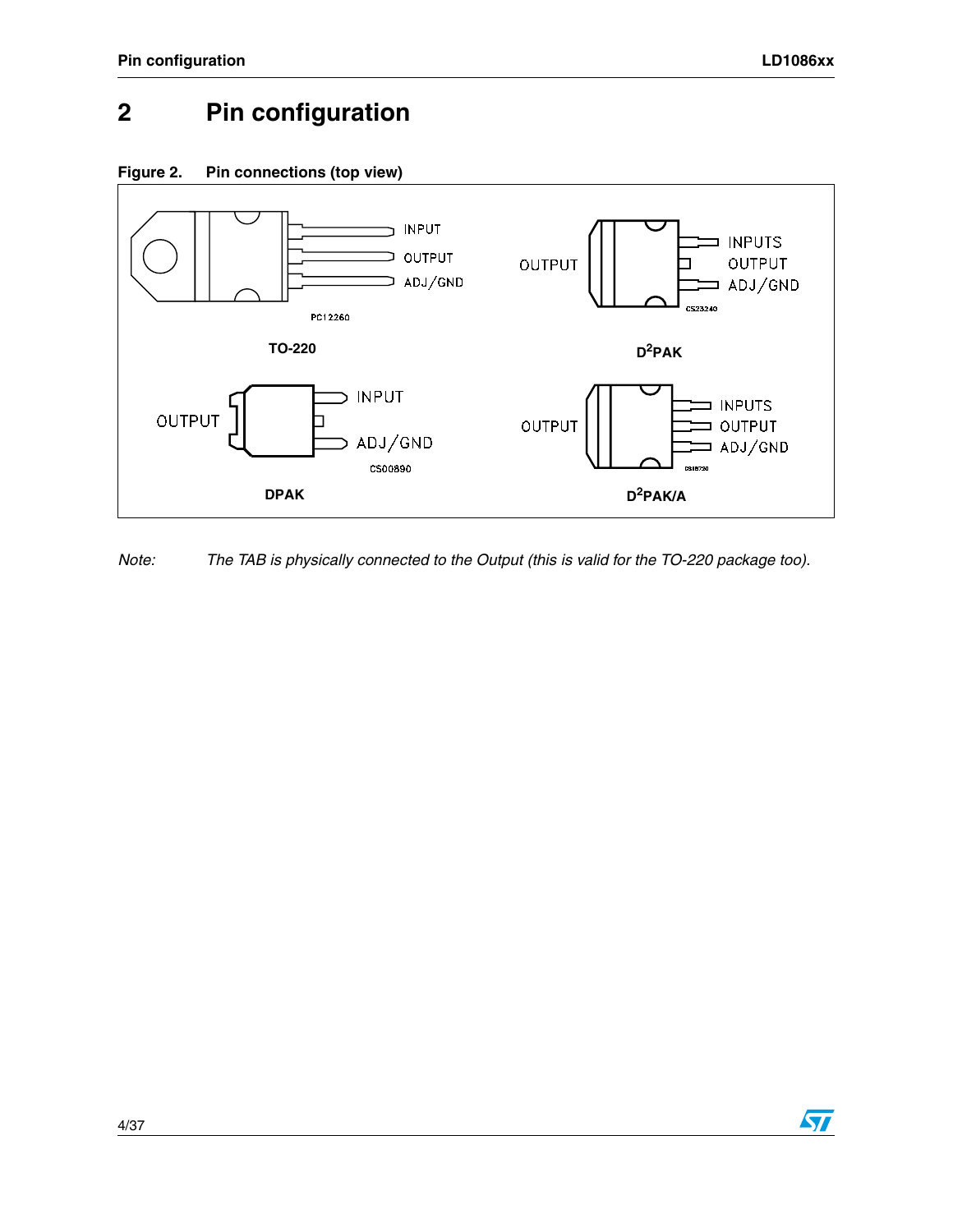### <span id="page-3-0"></span>**2 Pin configuration**

<span id="page-3-1"></span>



*Note: The TAB is physically connected to the Output (this is valid for the TO-220 package too).*

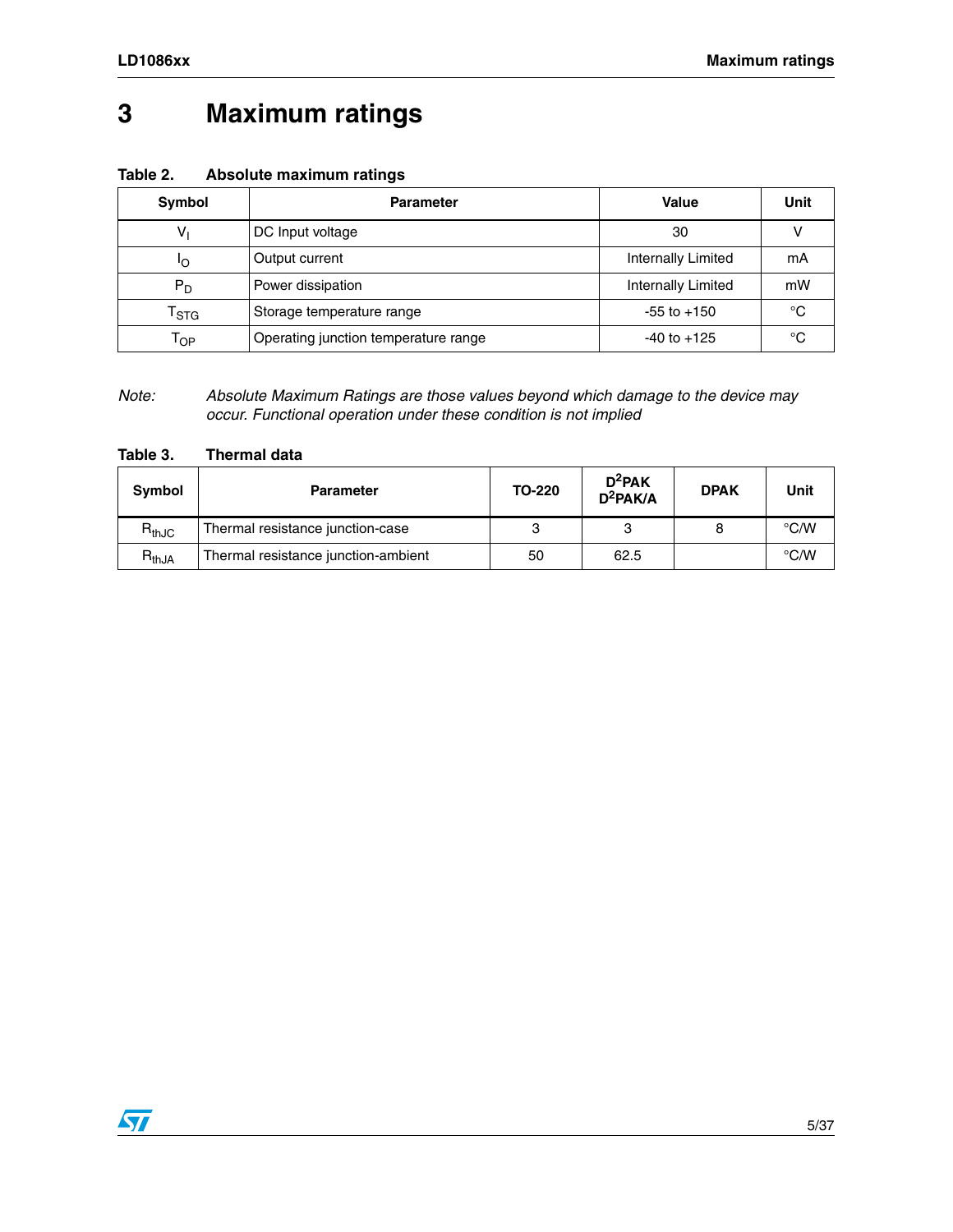# <span id="page-4-0"></span>**3 Maximum ratings**

| Table 2. | Absolute maximum ratings |  |
|----------|--------------------------|--|
|----------|--------------------------|--|

| Symbol                     | <b>Parameter</b>                     | Value              | Unit |
|----------------------------|--------------------------------------|--------------------|------|
| V                          | DC Input voltage                     | 30                 |      |
| ١o                         | Output current                       | Internally Limited | mА   |
| $P_D$                      | Power dissipation                    | Internally Limited | mW   |
| $\mathsf{T}_{\text{STG}}$  | Storage temperature range            | $-55$ to $+150$    | °C   |
| $\mathsf{T}_{\mathsf{OP}}$ | Operating junction temperature range | $-40$ to $+125$    | °C   |

*Note: Absolute Maximum Ratings are those values beyond which damage to the device may occur. Functional operation under these condition is not implied*

#### **Table 3. Thermal data**

 $\sqrt{2}$ 

| Symbol     | <b>Parameter</b>                    | TO-220 | $D^2$ PAK<br>$D^2PAK/A$ | <b>DPAK</b> | Unit          |
|------------|-------------------------------------|--------|-------------------------|-------------|---------------|
| $R_{thJC}$ | Thermal resistance junction-case    | ຈ      |                         |             | $\degree$ C/W |
| $R_{thJA}$ | Thermal resistance junction-ambient | 50     | 62.5                    |             | $\degree$ C/W |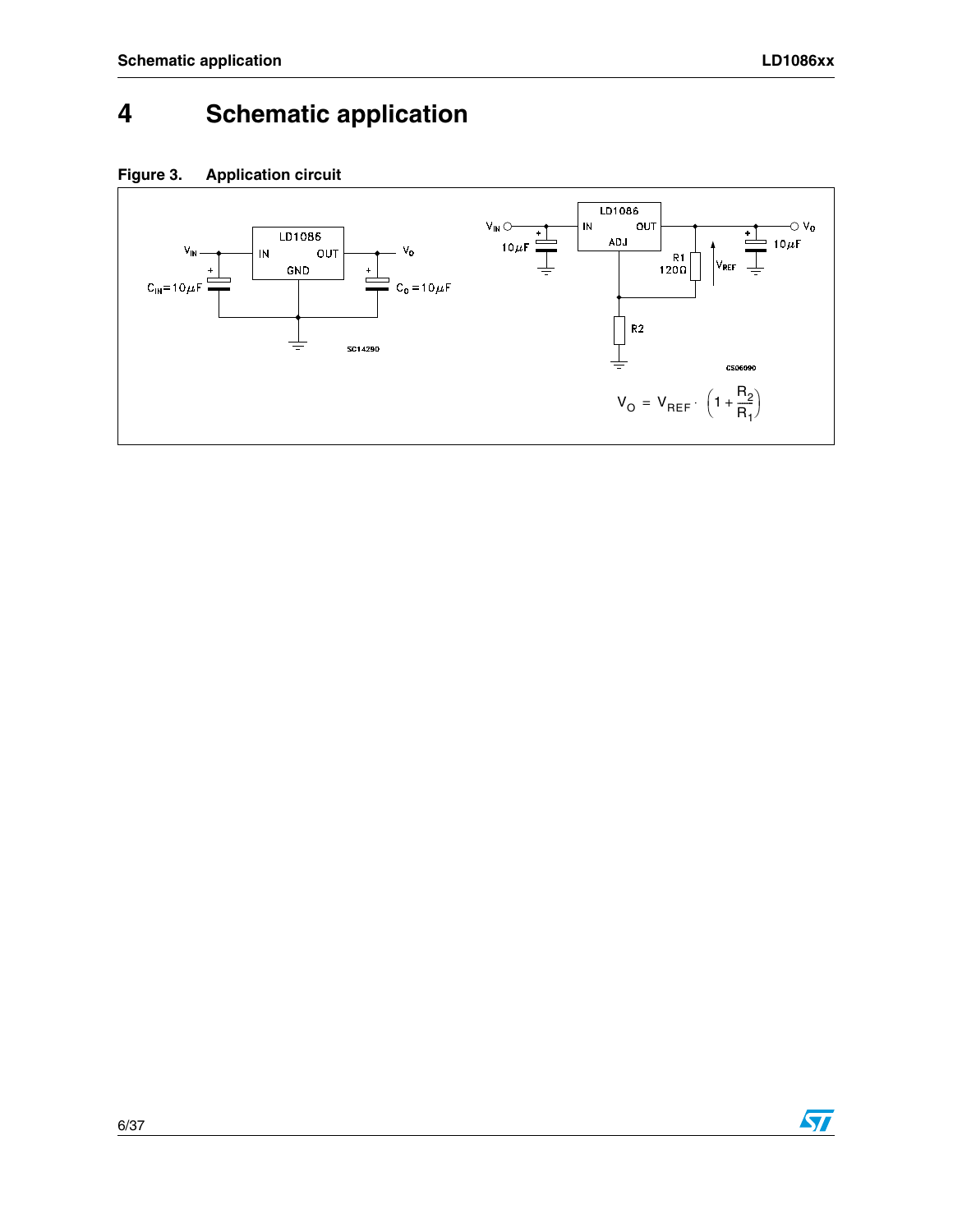# <span id="page-5-0"></span>**4 Schematic application**





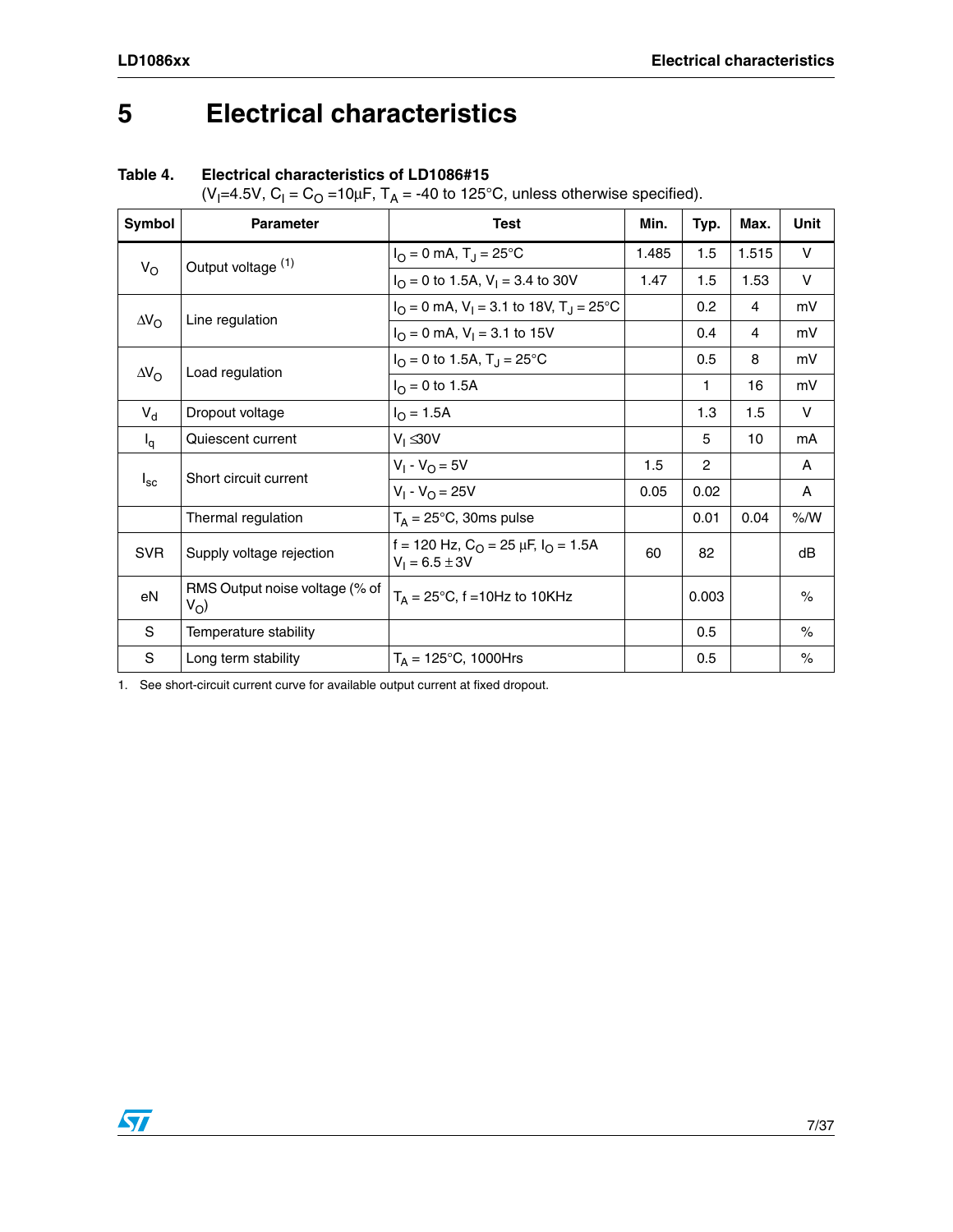# <span id="page-6-0"></span>**5 Electrical characteristics**

#### **Table 4. Electrical characteristics of LD1086#15**

(V<sub>I</sub>=4.5V, C<sub>I</sub> = C<sub>O</sub> =10μF, T<sub>A</sub> = -40 to 125°C, unless otherwise specified).

| Symbol             | <b>Parameter</b>                        | <b>Test</b>                                                                          | Min.  | Typ.           | Max.  | Unit   |
|--------------------|-----------------------------------------|--------------------------------------------------------------------------------------|-------|----------------|-------|--------|
|                    | Output voltage (1)                      | $I_{\rm O} = 0$ mA, T <sub>J</sub> = 25°C                                            | 1.485 | 1.5            | 1.515 | V      |
| $V_{\rm O}$        |                                         | $I_{\Omega} = 0$ to 1.5A, $V_{\text{I}} = 3.4$ to 30V                                | 1.47  | 1.5            | 1.53  | $\vee$ |
|                    |                                         | $I_{\Omega} = 0$ mA, V <sub>1</sub> = 3.1 to 18V, T <sub>J</sub> = 25 <sup>o</sup> C |       | 0.2            | 4     | mV     |
| $\Delta V_{\rm O}$ | Line regulation                         | $IO = 0$ mA, $V1 = 3.1$ to 15V                                                       |       | 0.4            | 4     | mV     |
|                    |                                         | $I_{\Omega} = 0$ to 1.5A, $T_{\text{J}} = 25^{\circ} \text{C}$                       |       | 0.5            | 8     | mV     |
| $\Delta V_{\rm O}$ | Load regulation                         | $I_{\Omega} = 0$ to 1.5A                                                             |       | 1              | 16    | mV     |
| $V_{d}$            | Dropout voltage                         | $I_{\rm O} = 1.5A$                                                                   |       | 1.3            | 1.5   | $\vee$ |
| $I_q$              | Quiescent current                       | $V_1 \leq 30V$                                                                       |       | 5              | 10    | mA     |
| $I_{\rm sc}$       | Short circuit current                   | $V_1 - V_{\Omega} = 5V$                                                              | 1.5   | $\overline{2}$ |       | A      |
|                    |                                         | $V_1 - V_0 = 25V$                                                                    | 0.05  | 0.02           |       | A      |
|                    | Thermal regulation                      | $T_A = 25^{\circ}C$ , 30ms pulse                                                     |       | 0.01           | 0.04  | % /W   |
| <b>SVR</b>         | Supply voltage rejection                | f = 120 Hz, $C_{\Omega}$ = 25 $\mu$ F, $I_{\Omega}$ = 1.5A<br>$V_1 = 6.5 \pm 3V$     | 60    | 82             |       | dB     |
| eN                 | RMS Output noise voltage (% of<br>$V_O$ | $T_A = 25^{\circ}$ C, f = 10Hz to 10KHz                                              |       | 0.003          |       | $\%$   |
| S                  | Temperature stability                   |                                                                                      |       | 0.5            |       | $\%$   |
| S                  | Long term stability                     | $T_A = 125^{\circ}C$ , 1000Hrs                                                       |       | 0.5            |       | $\%$   |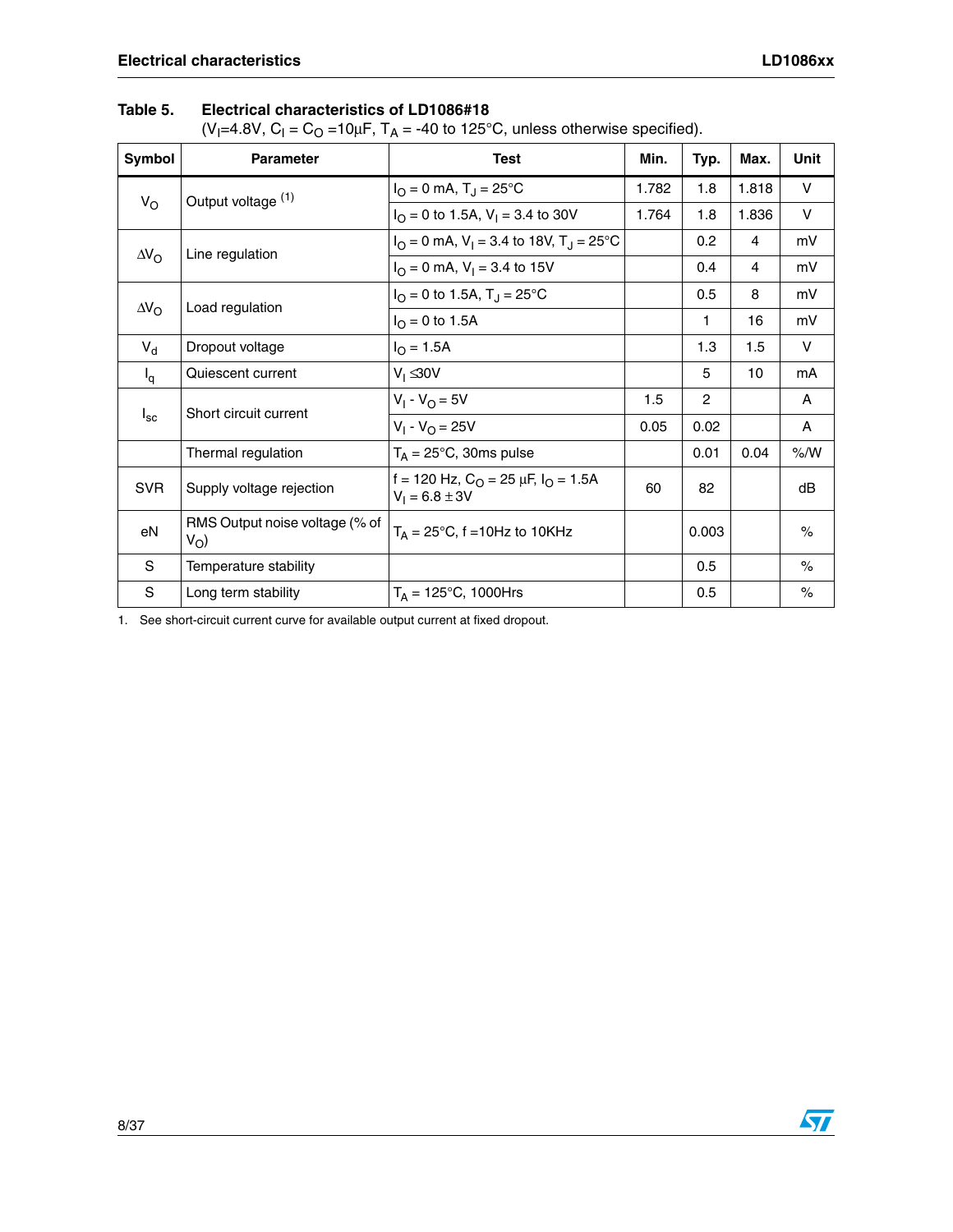#### **Table 5. Electrical characteristics of LD1086#18**

(V<sub>I</sub>=4.8V, C<sub>I</sub> = C<sub>O</sub> =10μF, T<sub>A</sub> = -40 to 125°C, unless otherwise specified).

| Symbol                                | <b>Parameter</b>                        | <b>Test</b>                                                                          | Min.  | Typ.             | Max.  | <b>Unit</b> |
|---------------------------------------|-----------------------------------------|--------------------------------------------------------------------------------------|-------|------------------|-------|-------------|
| $V_{\rm O}$                           | Output voltage (1)                      | $I_{\rm O} = 0$ mA, T <sub>J</sub> = 25°C                                            | 1.782 | 1.8              | 1.818 | $\vee$      |
|                                       |                                         | $I_{\Omega} = 0$ to 1.5A, V <sub>1</sub> = 3.4 to 30V                                | 1.764 | 1.8              | 1.836 | V           |
|                                       | Line regulation                         | $I_{\Omega} = 0$ mA, V <sub>1</sub> = 3.4 to 18V, T <sub>1</sub> = 25 <sup>o</sup> C |       | 0.2 <sub>0</sub> | 4     | mV          |
| $\Delta V_{\rm O}$                    |                                         | $I_{\Omega} = 0$ mA, $V_{\text{I}} = 3.4$ to 15V                                     |       | 0.4              | 4     | mV          |
| $\Delta V_{\rm O}$                    | Load regulation                         | $I_{\Omega} = 0$ to 1.5A, $T_{\text{J}} = 25^{\circ} \text{C}$                       |       | 0.5              | 8     | mV          |
|                                       |                                         | $I_{\Omega} = 0$ to 1.5A                                                             |       | 1                | 16    | mV          |
| $V_{d}$                               | Dropout voltage                         | $I_{\Omega} = 1.5A$                                                                  |       | 1.3              | 1.5   | $\vee$      |
| $I_q$                                 | Quiescent current                       | $V_1 \leq 30V$                                                                       |       | 5                | 10    | mA          |
| Short circuit current<br>$I_{\rm sc}$ |                                         | $V_1 - V_0 = 5V$                                                                     | 1.5   | $\mathbf{2}$     |       | A           |
|                                       |                                         | $V_1 - V_{\Omega} = 25V$                                                             | 0.05  | 0.02             |       | A           |
|                                       | Thermal regulation                      | $T_A = 25$ °C, 30ms pulse                                                            |       | 0.01             | 0.04  | % /W        |
| <b>SVR</b>                            | Supply voltage rejection                | f = 120 Hz, $C_{\Omega}$ = 25 µF, $I_{\Omega}$ = 1.5A<br>$V_1 = 6.8 \pm 3V$          | 60    | 82               |       | dB          |
| eN                                    | RMS Output noise voltage (% of<br>$V_O$ | $T_A = 25^{\circ}$ C, f = 10Hz to 10KHz                                              |       | 0.003            |       | $\%$        |
| S                                     | Temperature stability                   |                                                                                      |       | 0.5              |       | $\%$        |
| $\mathbf S$                           | Long term stability                     | $T_A = 125^{\circ}C$ , 1000Hrs                                                       |       | 0.5              |       | $\%$        |

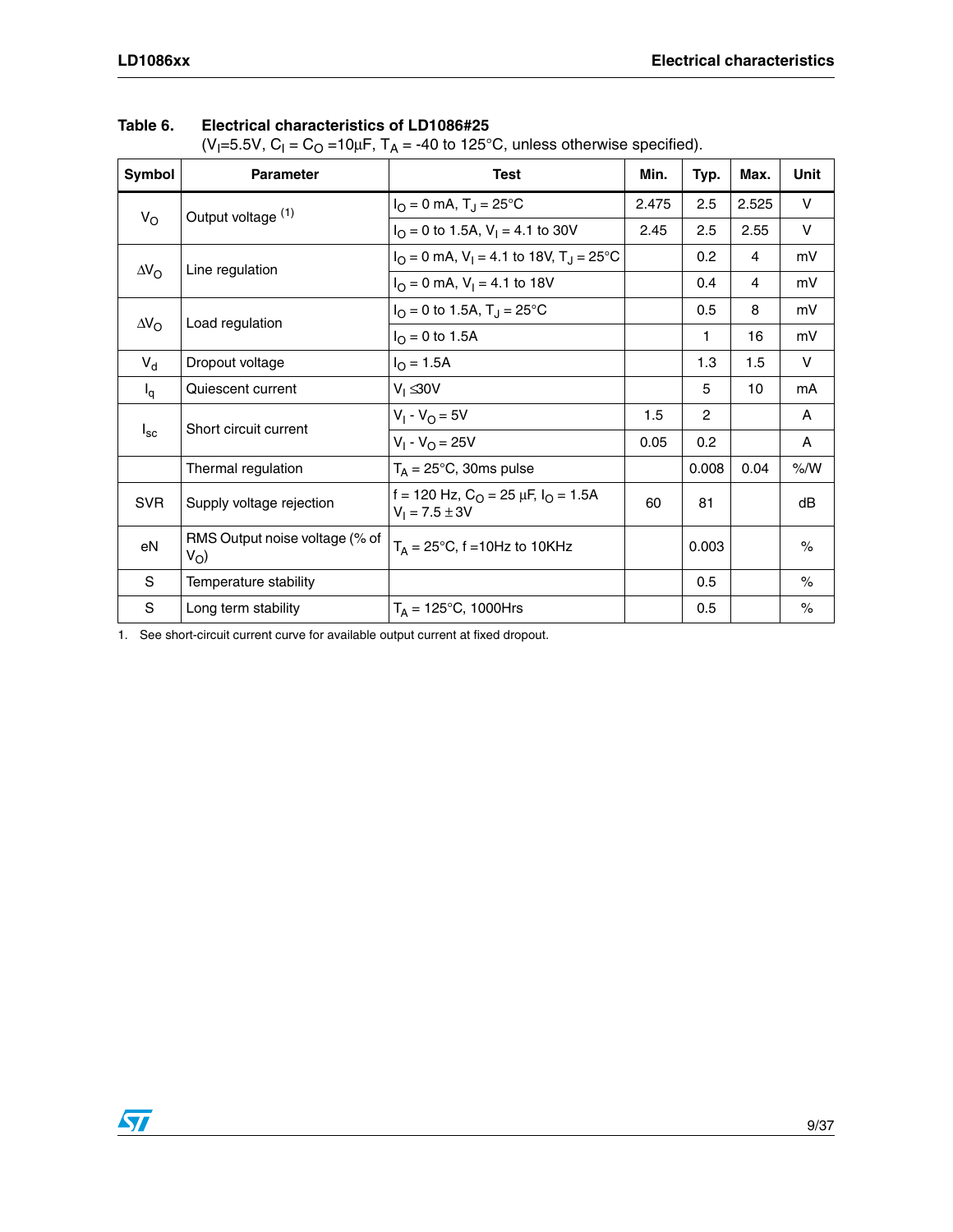| $\mathcal{L}$ . $\mathcal{L}$ . $\mathcal{L}$ . $\mathcal{L}$ . $\mathcal{L}$ . $\mathcal{L}$ . $\mathcal{L}$ . $\mathcal{L}$ |                                                    |                                                                                        |       |                |       |               |
|-------------------------------------------------------------------------------------------------------------------------------|----------------------------------------------------|----------------------------------------------------------------------------------------|-------|----------------|-------|---------------|
| Symbol                                                                                                                        | <b>Parameter</b>                                   | <b>Test</b>                                                                            | Min.  | Typ.           | Max.  | <b>Unit</b>   |
|                                                                                                                               | Output voltage (1)                                 | $I_{\rm O} = 0$ mA, T <sub>J</sub> = 25°C                                              | 2.475 | 2.5            | 2.525 | V             |
| $V_{\rm O}$                                                                                                                   |                                                    | $I_{\text{O}} = 0$ to 1.5A, $V_{\text{I}} = 4.1$ to 30V                                | 2.45  | 2.5            | 2.55  | $\vee$        |
|                                                                                                                               |                                                    | $I_{\text{O}} = 0$ mA, V <sub>1</sub> = 4.1 to 18V, T <sub>J</sub> = 25 <sup>o</sup> C |       | 0.2            | 4     | mV            |
| $\Delta V_{\rm O}$                                                                                                            | Line regulation                                    | $IO = 0$ mA, $V1 = 4.1$ to 18V                                                         |       | 0.4            | 4     | mV            |
|                                                                                                                               |                                                    | $I_{\Omega} = 0$ to 1.5A, $T_{\text{J}} = 25^{\circ} \text{C}$                         |       | 0.5            | 8     | mV            |
| $\Delta V_{\rm O}$                                                                                                            | Load regulation                                    | $I_{\Omega} = 0$ to 1.5A                                                               |       | 1              | 16    | mV            |
| $V_{d}$                                                                                                                       | Dropout voltage                                    | $I_{\Omega} = 1.5A$                                                                    |       | 1.3            | 1.5   | $\vee$        |
| $I_q$                                                                                                                         | Quiescent current                                  | $V_1 \leq 30V$                                                                         |       | 5              | 10    | mA            |
|                                                                                                                               | Short circuit current                              | $V_1 - V_{\Omega} = 5V$                                                                | 1.5   | $\overline{2}$ |       | A             |
| $I_{\rm sc}$                                                                                                                  |                                                    | $V_1 - V_{\Omega} = 25V$                                                               | 0.05  | 0.2            |       | A             |
|                                                                                                                               | Thermal regulation                                 | $T_A = 25^{\circ}$ C, 30ms pulse                                                       |       | 0.008          | 0.04  | % /W          |
| <b>SVR</b>                                                                                                                    | Supply voltage rejection                           | f = 120 Hz, $C_O$ = 25 µF, $I_O$ = 1.5A<br>$V_1 = 7.5 \pm 3V$                          | 60    | 81             |       | dB            |
| eN                                                                                                                            | RMS Output noise voltage (% of<br>V <sub>O</sub> ) | $T_A = 25^{\circ}C$ , f = 10Hz to 10KHz                                                |       | 0.003          |       | $\frac{1}{2}$ |
| S                                                                                                                             | Temperature stability                              |                                                                                        |       | 0.5            |       | $\%$          |
| S                                                                                                                             | Long term stability                                | $T_A = 125^{\circ}C$ , 1000Hrs                                                         |       | 0.5            |       | $\%$          |

#### **Table 6. Electrical characteristics of LD1086#25**

(V<sub>I</sub>=5.5V, C<sub>I</sub> = C<sub>O</sub> =10μF, T<sub>A</sub> = -40 to 125°C, unless otherwise specified).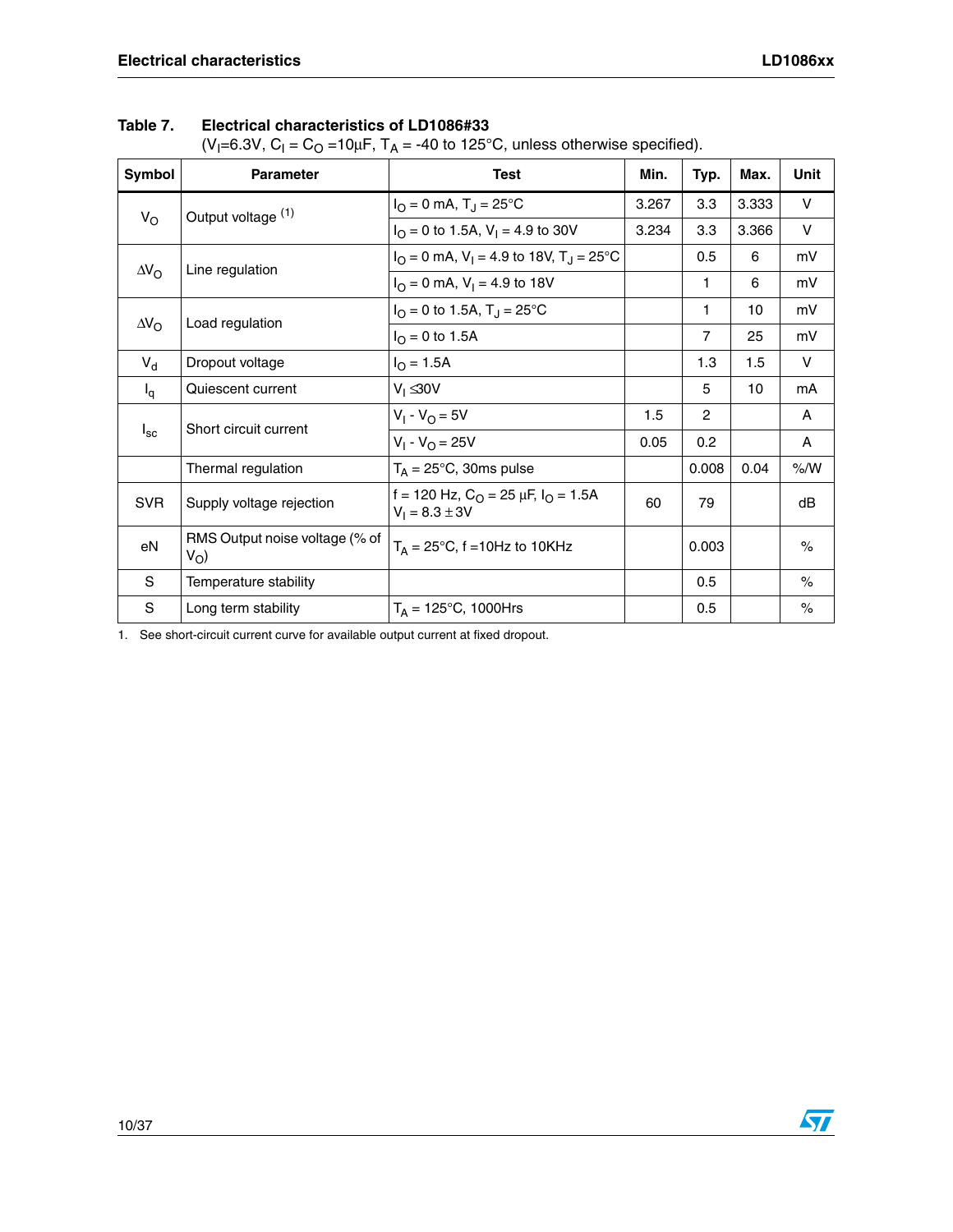(V<sub>I</sub>=6.3V, C<sub>I</sub> = C<sub>O</sub> =10μF, T<sub>A</sub> = -40 to 125°C, unless otherwise specified).

| Symbol             | <b>Parameter</b>                        | <b>Test</b>                                                                          | Min.  | Typ.           | Max.  | <b>Unit</b> |
|--------------------|-----------------------------------------|--------------------------------------------------------------------------------------|-------|----------------|-------|-------------|
|                    | Output voltage (1)                      | $I_{\Omega} = 0$ mA, $T_{\text{J}} = 25^{\circ}$ C                                   | 3.267 | 3.3            | 3.333 | $\vee$      |
| $V_{\rm O}$        |                                         | $I_{\Omega} = 0$ to 1.5A, $V_1 = 4.9$ to 30V                                         | 3.234 | 3.3            | 3.366 | $\vee$      |
| $\Delta V_{\rm O}$ |                                         | $I_{\Omega} = 0$ mA, V <sub>1</sub> = 4.9 to 18V, T <sub>J</sub> = 25 <sup>o</sup> C |       | 0.5            | 6     | mV          |
|                    | Line regulation                         | $I_{\Omega} = 0$ mA, $V_1 = 4.9$ to 18V                                              |       | 1              | 6     | mV          |
| $\Delta V_{\rm O}$ | Load regulation                         | $I_{\Omega} = 0$ to 1.5A, $T_{\text{J}} = 25^{\circ} \text{C}$                       |       | 1              | 10    | mV          |
|                    |                                         | $I_{\text{O}} = 0$ to 1.5A                                                           |       | $\overline{7}$ | 25    | mV          |
| $V_{d}$            | Dropout voltage                         | $I_{\Omega} = 1.5A$                                                                  |       | 1.3            | 1.5   | $\vee$      |
| $I_q$              | Quiescent current                       | $V_1 \leq 30V$                                                                       |       | 5              | 10    | mA          |
|                    | Short circuit current                   | $V_1 - V_{\Omega} = 5V$                                                              | 1.5   | $\overline{c}$ |       | A           |
| $I_{\rm sc}$       |                                         | $V_1 - V_0 = 25V$                                                                    | 0.05  | 0.2            |       | A           |
|                    | Thermal regulation                      | $T_A = 25^{\circ}C$ , 30ms pulse                                                     |       | 0.008          | 0.04  | % /W        |
| <b>SVR</b>         | Supply voltage rejection                | f = 120 Hz, $C_{\Omega}$ = 25 $\mu$ F, $I_{\Omega}$ = 1.5A<br>$V_1 = 8.3 \pm 3V$     | 60    | 79             |       | dB          |
| eN                 | RMS Output noise voltage (% of<br>$V_O$ | $T_A = 25^{\circ}$ C, f = 10Hz to 10KHz                                              |       | 0.003          |       | $\%$        |
| S                  | Temperature stability                   |                                                                                      |       | 0.5            |       | $\%$        |
| S                  | Long term stability                     | $T_A = 125^{\circ}C$ , 1000Hrs                                                       |       | 0.5            |       | $\%$        |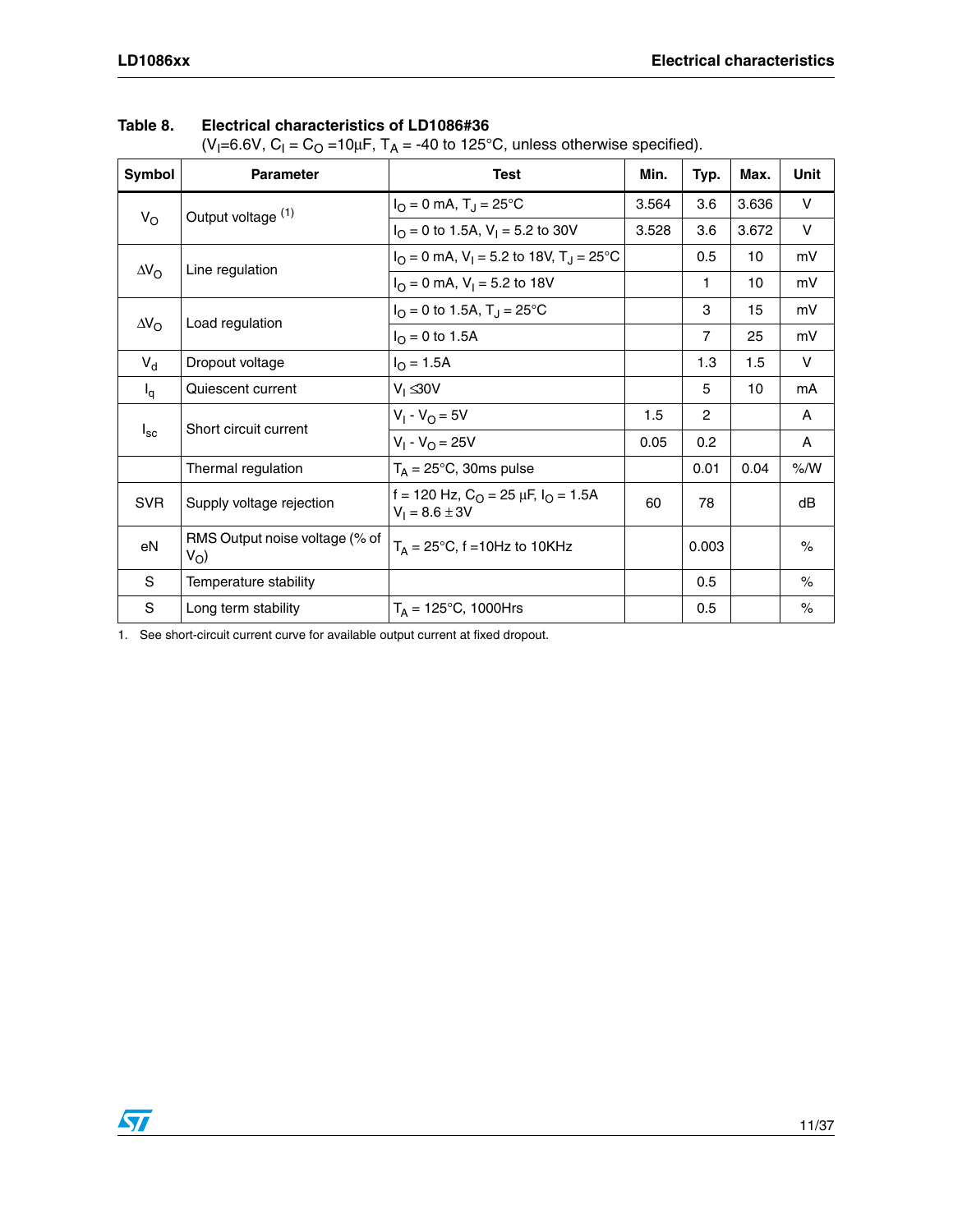| $\left( \frac{1}{2} \right)$ - $\left( \frac{1}{2} \right)$ - $\left( \frac{1}{2} \right)$ - $\left( \frac{1}{2} \right)$ - $\left( \frac{1}{2} \right)$ - $\left( \frac{1}{2} \right)$ - $\left( \frac{1}{2} \right)$ - $\left( \frac{1}{2} \right)$ - $\left( \frac{1}{2} \right)$ - $\left( \frac{1}{2} \right)$ - $\left( \frac{1}{2} \right)$ - $\left( \frac{1}{2} \right)$ - $\left( \$ |                                               |                                                                                  |       |                |       |              |
|------------------------------------------------------------------------------------------------------------------------------------------------------------------------------------------------------------------------------------------------------------------------------------------------------------------------------------------------------------------------------------------------|-----------------------------------------------|----------------------------------------------------------------------------------|-------|----------------|-------|--------------|
| Symbol                                                                                                                                                                                                                                                                                                                                                                                         | <b>Parameter</b>                              | <b>Test</b>                                                                      | Min.  | Typ.           | Max.  | Unit         |
|                                                                                                                                                                                                                                                                                                                                                                                                | Output voltage (1)                            | $I_{\rm O} = 0$ mA, T <sub>J</sub> = 25°C                                        | 3.564 | 3.6            | 3.636 | $\vee$       |
| $V_{\rm O}$                                                                                                                                                                                                                                                                                                                                                                                    |                                               | $I_{\text{O}} = 0$ to 1.5A, $V_{\text{I}} = 5.2$ to 30V                          | 3.528 | 3.6            | 3.672 | $\mathsf{V}$ |
|                                                                                                                                                                                                                                                                                                                                                                                                | Line regulation                               | $I_{\text{O}}$ = 0 mA, V <sub>1</sub> = 5.2 to 18V, T <sub>J</sub> = 25°C        |       | 0.5            | 10    | mV           |
| $\Delta V_{\rm O}$                                                                                                                                                                                                                                                                                                                                                                             |                                               | $IO = 0$ mA, $V1 = 5.2$ to 18V                                                   |       | 1              | 10    | mV           |
|                                                                                                                                                                                                                                                                                                                                                                                                |                                               | $I_{\Omega} = 0$ to 1.5A, $T_{\text{J}} = 25^{\circ} \text{C}$                   |       | 3              | 15    | mV           |
| $\Delta V_{\rm O}$                                                                                                                                                                                                                                                                                                                                                                             | Load regulation                               | $I_{\Omega} = 0$ to 1.5A                                                         |       | $\overline{7}$ | 25    | mV           |
| $V_{d}$                                                                                                                                                                                                                                                                                                                                                                                        | Dropout voltage                               | $I_{\Omega} = 1.5A$                                                              |       | 1.3            | 1.5   | V            |
| $I_q$                                                                                                                                                                                                                                                                                                                                                                                          | Quiescent current                             | $V_1 \leq 30V$                                                                   |       | 5              | 10    | mA           |
|                                                                                                                                                                                                                                                                                                                                                                                                | Short circuit current                         | $V_1 - V_0 = 5V$                                                                 | 1.5   | $\overline{2}$ |       | A            |
| $I_{\rm sc}$                                                                                                                                                                                                                                                                                                                                                                                   |                                               | $V_1 - V_{\Omega} = 25V$                                                         | 0.05  | 0.2            |       | A            |
|                                                                                                                                                                                                                                                                                                                                                                                                | Thermal regulation                            | $T_A = 25^{\circ}C$ , 30ms pulse                                                 |       | 0.01           | 0.04  | % /W         |
| <b>SVR</b>                                                                                                                                                                                                                                                                                                                                                                                     | Supply voltage rejection                      | f = 120 Hz, $C_{\Omega}$ = 25 $\mu$ F, $I_{\Omega}$ = 1.5A<br>$V_1 = 8.6 \pm 3V$ | 60    | 78             |       | dB           |
| eN                                                                                                                                                                                                                                                                                                                                                                                             | RMS Output noise voltage (% of<br>$V_{\rm O}$ | $T_A = 25^{\circ}$ C, f = 10Hz to 10KHz                                          |       | 0.003          |       | $\%$         |
| S                                                                                                                                                                                                                                                                                                                                                                                              | Temperature stability                         |                                                                                  |       | 0.5            |       | $\%$         |
| $\mathbf S$                                                                                                                                                                                                                                                                                                                                                                                    | Long term stability                           | $T_A = 125^{\circ}C$ , 1000Hrs                                                   |       | 0.5            |       | $\%$         |

#### **Table 8. Electrical characteristics of LD1086#36**

(V<sub>I</sub>=6.6V, C<sub>I</sub> = C<sub>O</sub> =10μF, T<sub>A</sub> = -40 to 125°C, unless otherwise specified).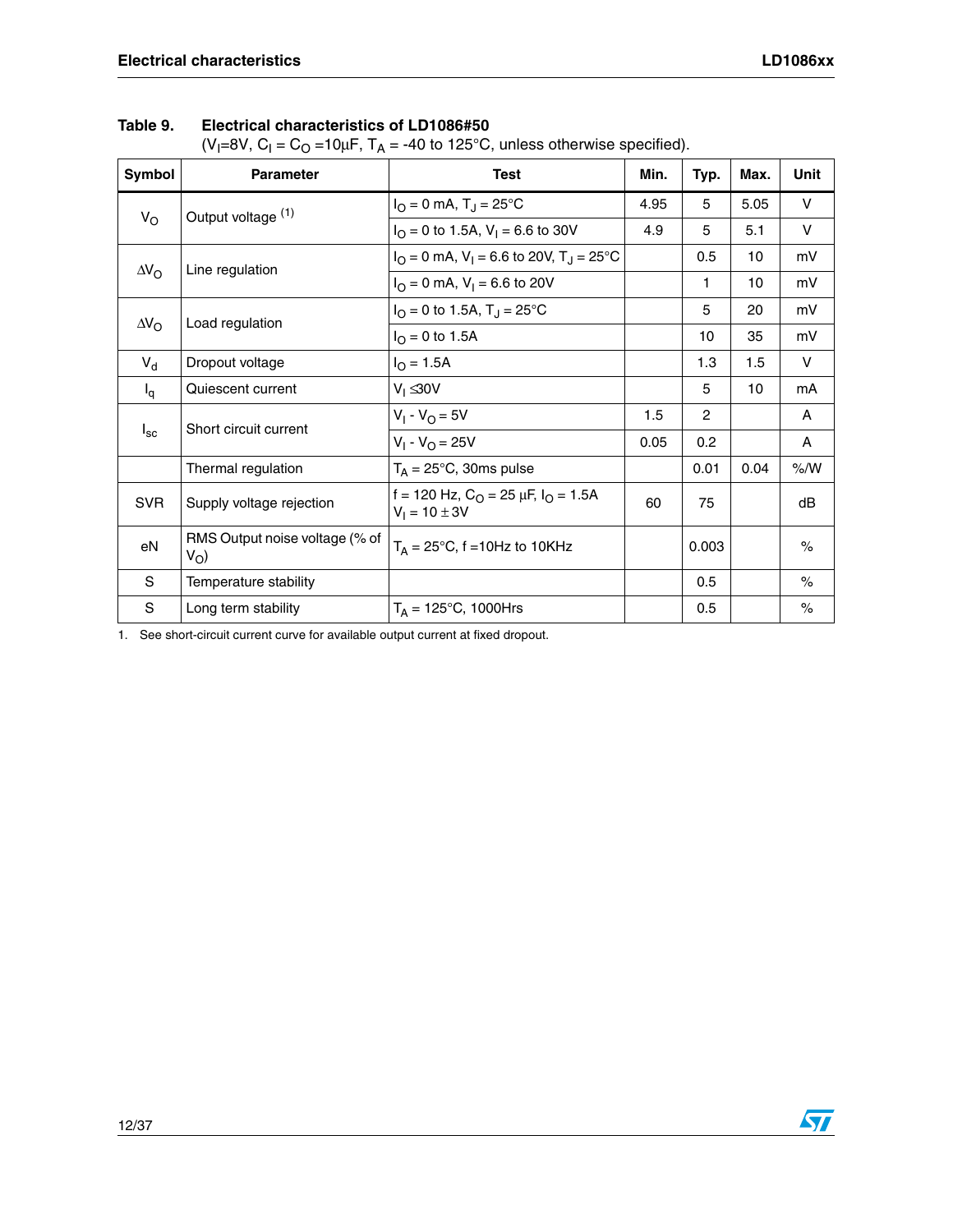(V<sub>I</sub>=8V, C<sub>I</sub> = C<sub>O</sub> =10μF, T<sub>A</sub> = -40 to 125°C, unless otherwise specified).

| Symbol             | <b>Parameter</b>                              | <b>Test</b>                                                                          | Min. | Typ.           | Max. | <b>Unit</b> |
|--------------------|-----------------------------------------------|--------------------------------------------------------------------------------------|------|----------------|------|-------------|
|                    | Output voltage (1)                            | $I_{\Omega} = 0$ mA, $T_{\Omega} = 25^{\circ}C$                                      | 4.95 | 5              | 5.05 | V           |
| $V_{\rm O}$        |                                               | $I_{\Omega} = 0$ to 1.5A, V <sub>1</sub> = 6.6 to 30V                                | 4.9  | 5              | 5.1  | $\vee$      |
| $\Delta V_{\rm O}$ | Line regulation                               | $I_{\Omega} = 0$ mA, V <sub>1</sub> = 6.6 to 20V, T <sub>1</sub> = 25 <sup>o</sup> C |      | 0.5            | 10   | mV          |
|                    |                                               | $I_{\text{O}} = 0$ mA, $V_{\text{I}} = 6.6$ to 20V                                   |      | 1              | 10   | mV          |
|                    | $\Delta V_{\rm O}$<br>Load regulation         | $I_{\Omega} = 0$ to 1.5A, $T_{\text{J}} = 25^{\circ} \text{C}$                       |      | 5              | 20   | mV          |
|                    |                                               | $I_{\Omega} = 0$ to 1.5A                                                             |      | 10             | 35   | mV          |
| $V_{d}$            | Dropout voltage                               | $I_{\Omega} = 1.5A$                                                                  |      | 1.3            | 1.5  | $\vee$      |
| $I_q$              | Quiescent current                             | $V_1 \leq 30V$                                                                       |      | 5              | 10   | mA          |
|                    | Short circuit current                         | $V_1 - V_{\Omega} = 5V$                                                              | 1.5  | $\overline{2}$ |      | A           |
| $I_{\rm sc}$       |                                               | $V_1 - V_{\Omega} = 25V$                                                             | 0.05 | 0.2            |      | A           |
|                    | Thermal regulation                            | $T_A = 25$ °C, 30ms pulse                                                            |      | 0.01           | 0.04 | % /W        |
| <b>SVR</b>         | Supply voltage rejection                      | f = 120 Hz, $C_{\Omega}$ = 25 $\mu$ F, $I_{\Omega}$ = 1.5A<br>$V_1 = 10 \pm 3V$      | 60   | 75             |      | dB          |
| eN                 | RMS Output noise voltage (% of<br>$V_{\rm O}$ | $T_A = 25^{\circ}C$ , f = 10Hz to 10KHz                                              |      | 0.003          |      | $\%$        |
| S                  | Temperature stability                         |                                                                                      |      | 0.5            |      | $\%$        |
| S                  | Long term stability                           | $T_A = 125^{\circ}C$ , 1000Hrs                                                       |      | 0.5            |      | $\%$        |

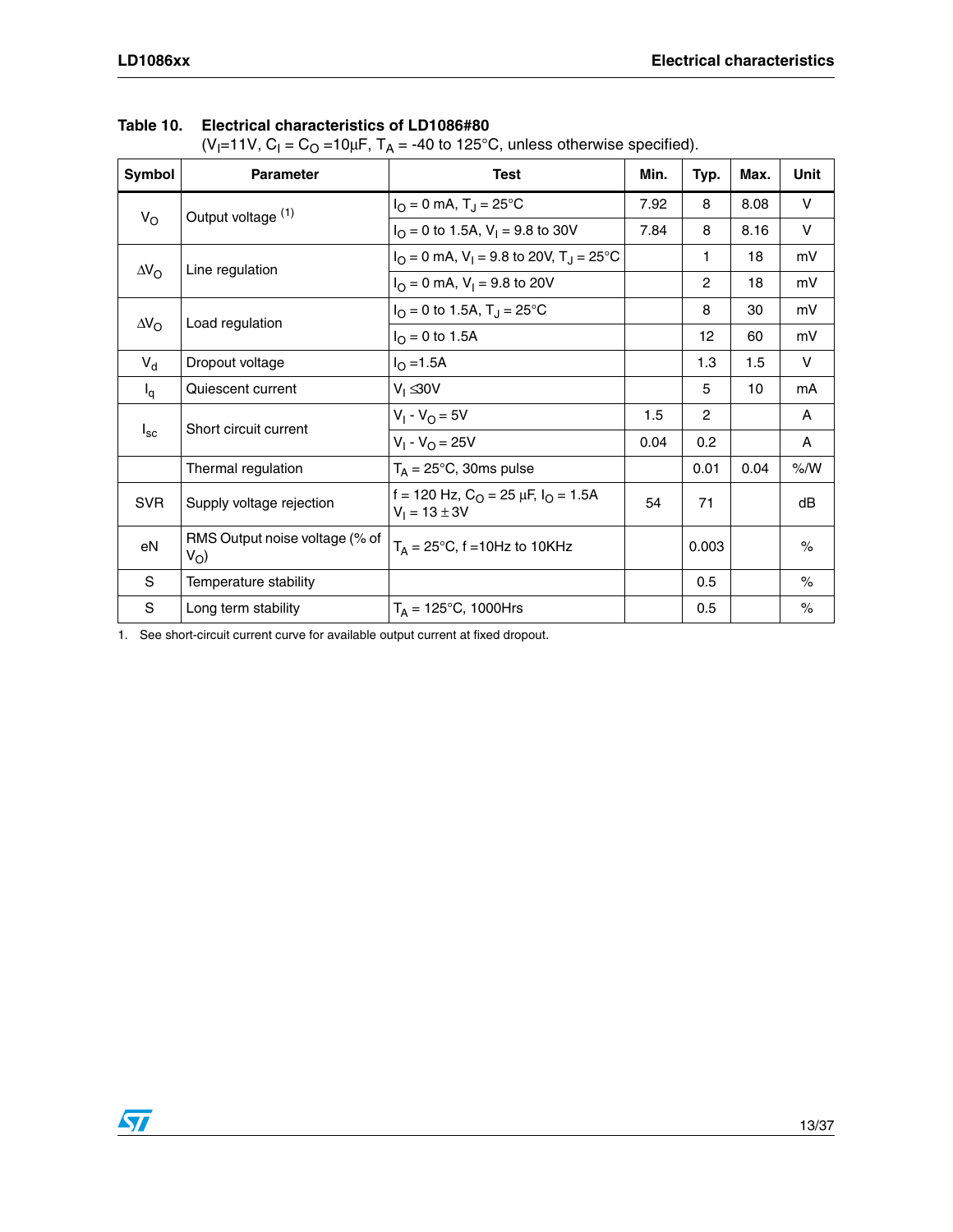| Table 10. Electrical characteristics of LD1086#80 |  |
|---------------------------------------------------|--|
|                                                   |  |

(V<sub>I</sub>=11V, C<sub>I</sub> = C<sub>O</sub> =10μF, T<sub>A</sub> = -40 to 125°C, unless otherwise specified).

| Symbol             | <b>Parameter</b>                              | <b>Test</b>                                                                            | Min. | Typ.           | Max. | Unit          |
|--------------------|-----------------------------------------------|----------------------------------------------------------------------------------------|------|----------------|------|---------------|
|                    | Output voltage (1)                            | $I_{\rm O} = 0$ mA, T <sub>J</sub> = 25°C                                              | 7.92 | 8              | 8.08 | $\vee$        |
| $V_{\rm O}$        |                                               | $I_{\Omega} = 0$ to 1.5A, $V_1 = 9.8$ to 30V                                           | 7.84 | 8              | 8.16 | $\vee$        |
|                    | Line regulation                               | $I_{\text{O}} = 0$ mA, $V_{\text{I}} = 9.8$ to 20V, T <sub>J</sub> = 25 <sup>o</sup> C |      | 1              | 18   | mV            |
| $\Delta V_{\rm O}$ |                                               | $I_{\Omega} = 0$ mA, $V_{\text{I}} = 9.8$ to 20V                                       |      | $\overline{2}$ | 18   | mV            |
|                    | $\Delta V_{\rm O}$<br>Load regulation         | $I_{\Omega} = 0$ to 1.5A, $T_{\text{J}} = 25^{\circ} \text{C}$                         |      | 8              | 30   | mV            |
|                    |                                               | $I_{\Omega} = 0$ to 1.5A                                                               |      | 12             | 60   | mV            |
| $V_{d}$            | Dropout voltage                               | $I_{\Omega} = 1.5A$                                                                    |      | 1.3            | 1.5  | $\vee$        |
| $I_q$              | Quiescent current                             | $V_1 \leq 30V$                                                                         |      | 5              | 10   | mA            |
|                    | Short circuit current                         | $V_1 - V_0 = 5V$                                                                       | 1.5  | $\overline{c}$ |      | $\mathsf{A}$  |
| $I_{\rm sc}$       |                                               | $V_1 - V_0 = 25V$                                                                      | 0.04 | 0.2            |      | A             |
|                    | Thermal regulation                            | $T_A = 25$ °C, 30ms pulse                                                              |      | 0.01           | 0.04 | % /W          |
| <b>SVR</b>         | Supply voltage rejection                      | f = 120 Hz, $C_{\text{O}}$ = 25 $\mu$ F, $I_{\text{O}}$ = 1.5A<br>$V_1 = 13 \pm 3V$    | 54   | 71             |      | dB            |
| eN                 | RMS Output noise voltage (% of<br>$V_{\rm O}$ | $T_A = 25^{\circ}C$ , f = 10Hz to 10KHz                                                |      | 0.003          |      | $\frac{1}{2}$ |
| S                  | Temperature stability                         |                                                                                        |      | 0.5            |      | $\%$          |
| S                  | Long term stability                           | $T_A = 125^{\circ}C$ , 1000Hrs                                                         |      | 0.5            |      | $\%$          |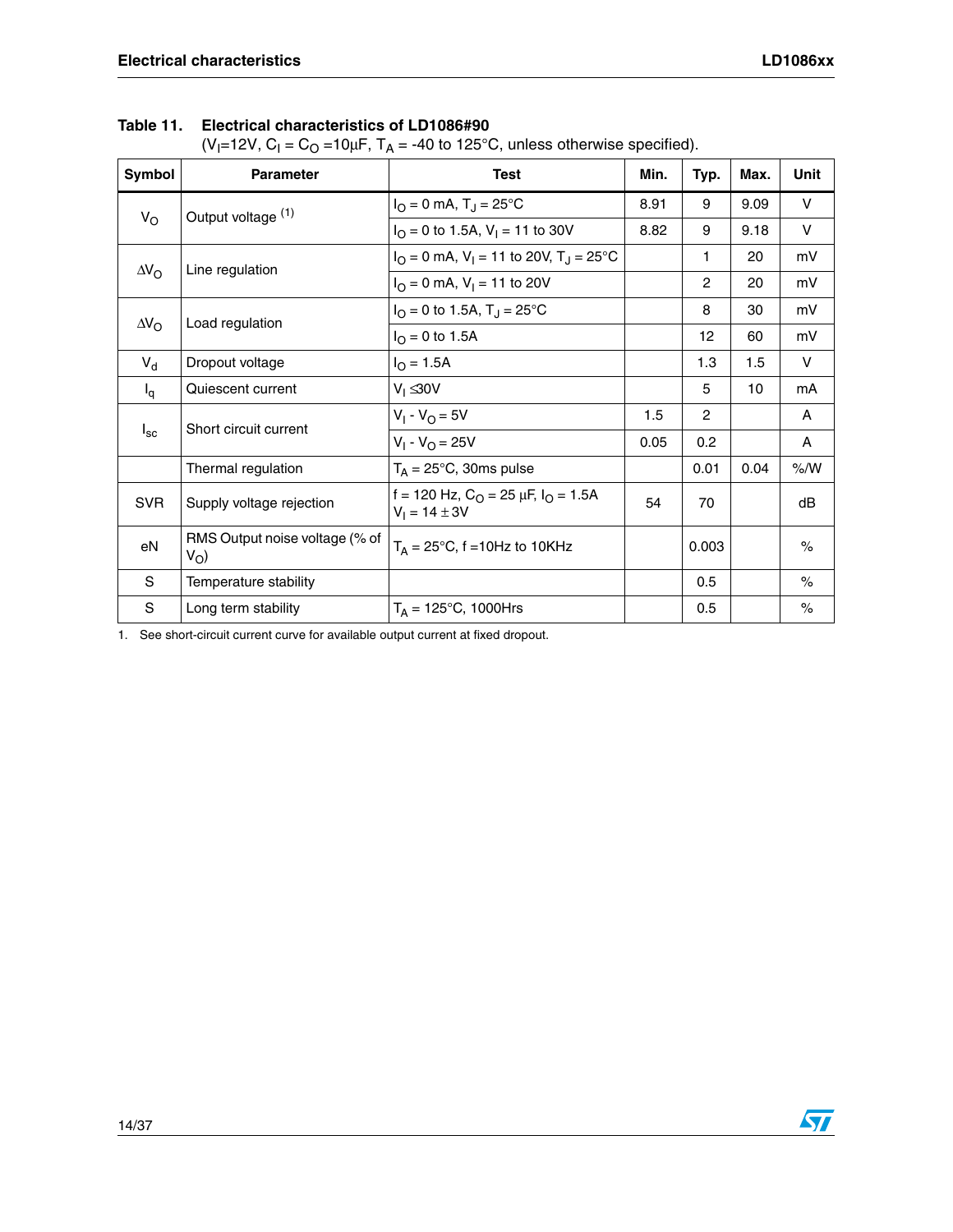#### **Table 11. Electrical characteristics of LD1086#90**

(V<sub>I</sub>=12V, C<sub>I</sub> = C<sub>O</sub> =10μF, T<sub>A</sub> = -40 to 125°C, unless otherwise specified).

| Symbol             | <b>Parameter</b>                              | <b>Test</b>                                                                           | Min. | Typ.           | Max. | Unit         |
|--------------------|-----------------------------------------------|---------------------------------------------------------------------------------------|------|----------------|------|--------------|
|                    | Output voltage (1)                            | $I_{O} = 0$ mA, $T_{J} = 25^{\circ}C$                                                 | 8.91 | 9              | 9.09 | V            |
| $V_{\rm O}$        |                                               | $I_{\text{O}} = 0$ to 1.5A, $V_{\text{I}} = 11$ to 30V                                | 8.82 | 9              | 9.18 | V            |
|                    | Line regulation                               | $I_{\text{O}} = 0$ mA, V <sub>1</sub> = 11 to 20V, T <sub>J</sub> = 25 <sup>o</sup> C |      | 1.             | 20   | mV           |
| $\Delta V_{\rm O}$ |                                               | $I_{\text{O}} = 0$ mA, $V_{\text{I}} = 11$ to 20V                                     |      | $\overline{c}$ | 20   | mV           |
|                    | $\Delta V_{\rm O}$<br>Load regulation         | $I_{\Omega} = 0$ to 1.5A, $T_{\text{J}} = 25^{\circ} \text{C}$                        |      | 8              | 30   | mV           |
|                    |                                               | $I_{\rm O} = 0$ to 1.5A                                                               |      | 12             | 60   | mV           |
| $V_d$              | Dropout voltage                               | $I_{\rm O} = 1.5A$                                                                    |      | 1.3            | 1.5  | V            |
| $I_q$              | Quiescent current                             | $V_1 \leq 30V$                                                                        |      | 5              | 10   | mA           |
|                    | Short circuit current                         | $V_1 - V_{\Omega} = 5V$                                                               | 1.5  | $\overline{2}$ |      | A            |
| $I_{\rm sc}$       |                                               | $V_1 - V_{\Omega} = 25V$                                                              | 0.05 | 0.2            |      | $\mathsf{A}$ |
|                    | Thermal regulation                            | $T_A = 25^{\circ}$ C, 30ms pulse                                                      |      | 0.01           | 0.04 | % /W         |
| <b>SVR</b>         | Supply voltage rejection                      | f = 120 Hz, $C_{\Omega}$ = 25 $\mu$ F, $I_{\Omega}$ = 1.5A<br>$V_1 = 14 \pm 3V$       | 54   | 70             |      | dB           |
| eN                 | RMS Output noise voltage (% of<br>$V_{\rm O}$ | $T_A = 25^{\circ}C$ , f = 10Hz to 10KHz                                               |      | 0.003          |      | $\%$         |
| S                  | Temperature stability                         |                                                                                       |      | 0.5            |      | $\%$         |
| $\mathbf S$        | Long term stability                           | $T_A = 125^{\circ}C$ , 1000Hrs                                                        |      | 0.5            |      | $\%$         |

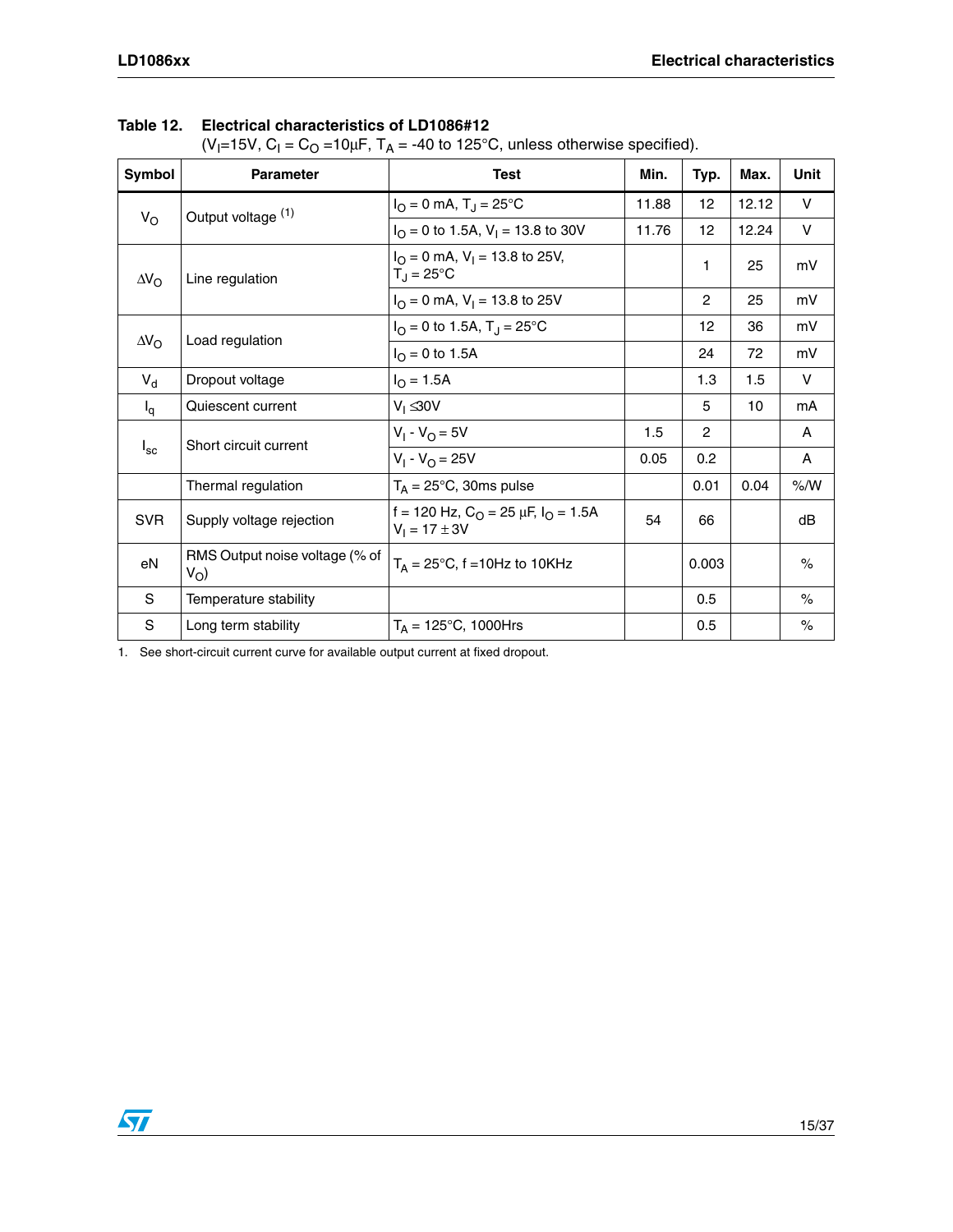#### **Table 12. Electrical characteristics of LD1086#12**

(V<sub>I</sub>=15V, C<sub>I</sub> = C<sub>O</sub> =10μF, T<sub>A</sub> = -40 to 125°C, unless otherwise specified).

| Symbol                                | <b>Parameter</b>                              | <b>Test</b>                                                                     | Min.  | Typ.           | Max.  | Unit          |
|---------------------------------------|-----------------------------------------------|---------------------------------------------------------------------------------|-------|----------------|-------|---------------|
|                                       | Output voltage (1)                            | $I_{\rm O} = 0$ mA, T <sub>J</sub> = 25°C                                       | 11.88 | 12             | 12.12 | $\vee$        |
| $V_{\rm O}$                           |                                               | $I_{\Omega} = 0$ to 1.5A, $V_{\text{I}} = 13.8$ to 30V                          | 11.76 | 12             | 12.24 | V             |
| $\Delta V_{\rm O}$                    | Line regulation                               | $I_{\Omega} = 0$ mA, $V_{\text{I}} = 13.8$ to 25V,<br>$T_J = 25^{\circ}C$       |       | 1              | 25    | mV            |
|                                       |                                               | $I_{\text{O}} = 0$ mA, $V_{\text{I}} = 13.8$ to 25V                             |       | $\overline{2}$ | 25    | mV            |
| $\Delta V_{\rm O}$<br>Load regulation |                                               | $I_{\rm O}$ = 0 to 1.5A, T <sub>J</sub> = 25 °C                                 |       | 12             | 36    | mV            |
|                                       |                                               | $I_{\Omega} = 0$ to 1.5A                                                        |       | 24             | 72    | mV            |
| $V_{d}$                               | Dropout voltage                               | $I_{\rm O} = 1.5A$                                                              |       | 1.3            | 1.5   | V             |
| $I_q$                                 | Quiescent current                             | $V_1 \leq 30V$                                                                  |       | 5              | 10    | mA            |
|                                       | Short circuit current                         | $V_1 - V_0 = 5V$                                                                | 1.5   | $\mathbf{2}$   |       | A             |
| $I_{\rm sc}$                          |                                               | $V_1 - V_0 = 25V$                                                               | 0.05  | 0.2            |       | A             |
|                                       | Thermal regulation                            | $T_A = 25^{\circ}C$ , 30ms pulse                                                |       | 0.01           | 0.04  | $\%$ /W       |
| <b>SVR</b>                            | Supply voltage rejection                      | f = 120 Hz, $C_{\Omega}$ = 25 $\mu$ F, $I_{\Omega}$ = 1.5A<br>$V_1 = 17 \pm 3V$ | 54    | 66             |       | dB            |
| eN                                    | RMS Output noise voltage (% of<br>$V_{\rm O}$ | $T_A = 25^{\circ}C$ , f = 10Hz to 10KHz                                         |       | 0.003          |       | $\frac{1}{2}$ |
| S                                     | Temperature stability                         |                                                                                 |       | 0.5            |       | $\frac{1}{2}$ |
| $\mathbf S$                           | Long term stability                           | $T_A = 125^{\circ}C$ , 1000Hrs                                                  |       | 0.5            |       | $\%$          |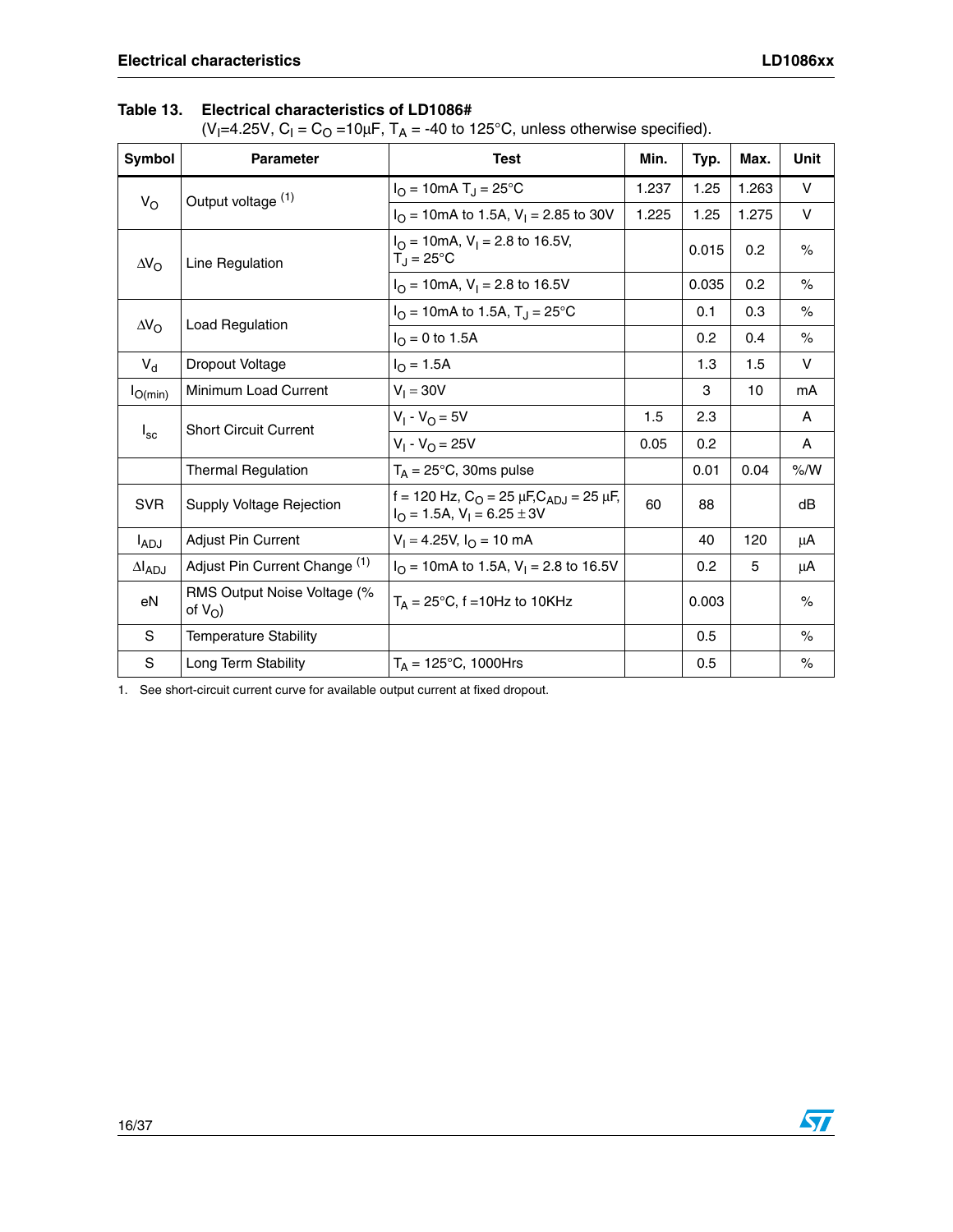#### **Table 13. Electrical characteristics of LD1086#**

(V<sub>I</sub>=4.25V, C<sub>I</sub> = C<sub>O</sub> =10μF, T<sub>A</sub> = -40 to 125°C, unless otherwise specified).

| Symbol             | <b>Parameter</b>                          | <b>Test</b>                                                                              | Min.  | Typ.  | Max.  | <b>Unit</b> |
|--------------------|-------------------------------------------|------------------------------------------------------------------------------------------|-------|-------|-------|-------------|
| $V_{\rm O}$        | Output voltage (1)                        | $I_{\rm O}$ = 10mA T <sub>J</sub> = 25°C                                                 | 1.237 | 1.25  | 1.263 | $\vee$      |
|                    |                                           | $I_{\Omega}$ = 10mA to 1.5A, V <sub>1</sub> = 2.85 to 30V                                | 1.225 | 1.25  | 1.275 | V           |
| $\Delta V_{\rm O}$ | Line Regulation                           | $I_{\Omega}$ = 10mA, V <sub>1</sub> = 2.8 to 16.5V,<br>$T_{\rm d}$ = 25°C                |       | 0.015 | 0.2   | $\%$        |
|                    |                                           | $I_{\Omega}$ = 10mA, V <sub>1</sub> = 2.8 to 16.5V                                       |       | 0.035 | 0.2   | $\%$        |
| $\Delta V_{\rm O}$ | <b>Load Regulation</b>                    | $I_{\text{O}}$ = 10mA to 1.5A, T <sub>J</sub> = 25°C                                     |       | 0.1   | 0.3   | $\%$        |
|                    |                                           | $I_{\text{O}} = 0$ to 1.5A                                                               |       | 0.2   | 0.4   | $\%$        |
| $V_{d}$            | Dropout Voltage                           | $I_{\rm O} = 1.5A$                                                                       |       | 1.3   | 1.5   | $\vee$      |
| $I_{O(min)}$       | Minimum Load Current                      | $V_1 = 30V$                                                                              |       | 3     | 10    | mA          |
|                    | <b>Short Circuit Current</b>              | $V_1 - V_0 = 5V$                                                                         | 1.5   | 2.3   |       | A           |
| $I_{\rm sc}$       |                                           | $V_1 - V_{\Omega} = 25V$                                                                 | 0.05  | 0.2   |       | A           |
|                    | <b>Thermal Regulation</b>                 | $T_A = 25^{\circ}$ C, 30ms pulse                                                         |       | 0.01  | 0.04  | % /W        |
| <b>SVR</b>         | Supply Voltage Rejection                  | f = 120 Hz, $C_O$ = 25 $\mu$ F, $C_{ADJ}$ = 25 $\mu$ F,<br>$IO = 1.5A, V1 = 6.25 \pm 3V$ | 60    | 88    |       | dB          |
| $I_{ADJ}$          | <b>Adjust Pin Current</b>                 | $V_1 = 4.25V$ , $I_Q = 10$ mA                                                            |       | 40    | 120   | μA          |
| $\Delta I_{ADJ}$   | Adjust Pin Current Change (1)             | $IO$ = 10mA to 1.5A, V <sub>1</sub> = 2.8 to 16.5V                                       |       | 0.2   | 5     | μA          |
| eN                 | RMS Output Noise Voltage (%<br>of $V_O$ ) | $T_A = 25^{\circ}$ C, f = 10Hz to 10KHz                                                  |       | 0.003 |       | $\%$        |
| S                  | <b>Temperature Stability</b>              |                                                                                          |       | 0.5   |       | $\%$        |
| S                  | Long Term Stability                       | $T_A = 125^{\circ}C$ , 1000Hrs                                                           |       | 0.5   |       | $\%$        |

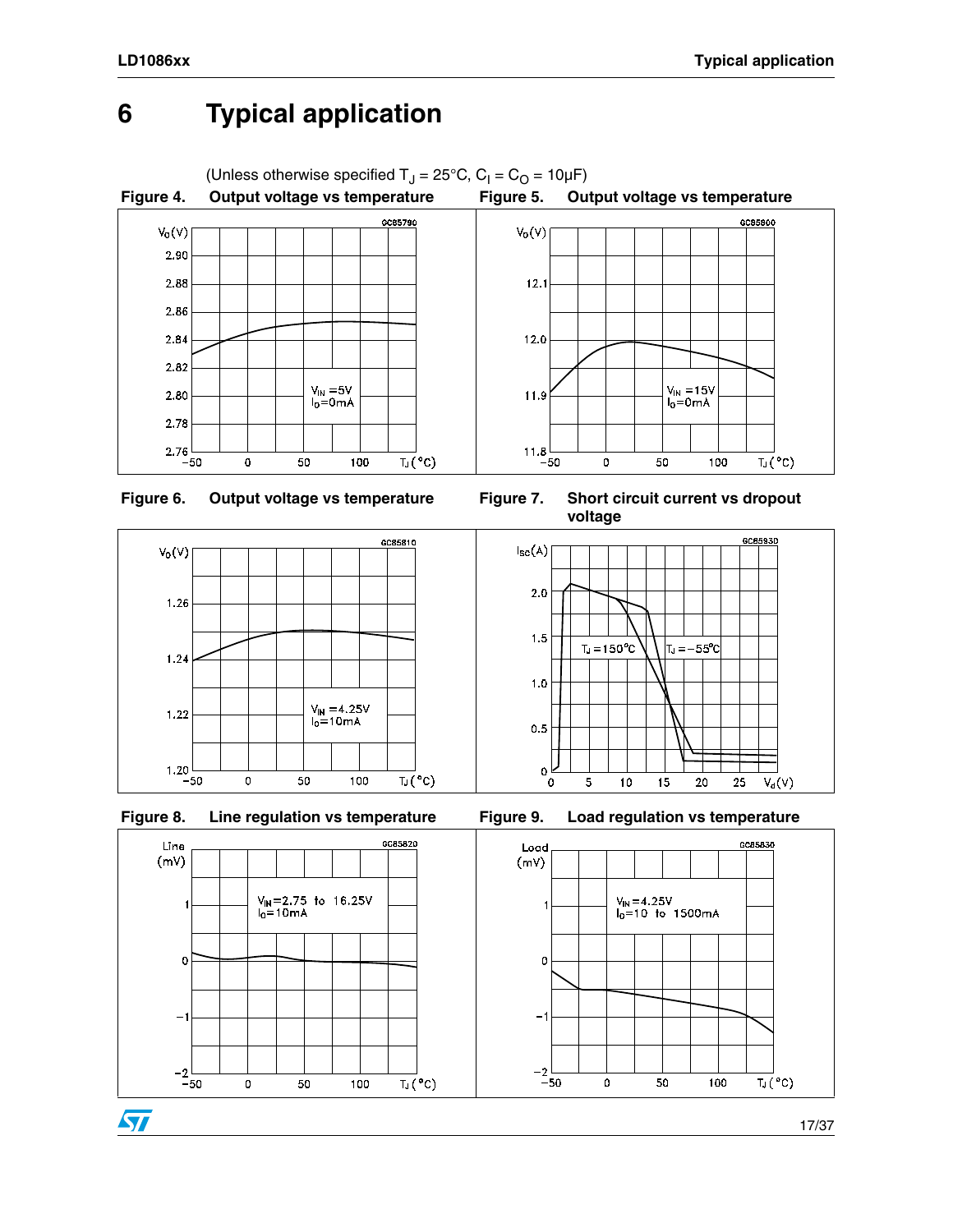### <span id="page-16-0"></span>**6 Typical application**

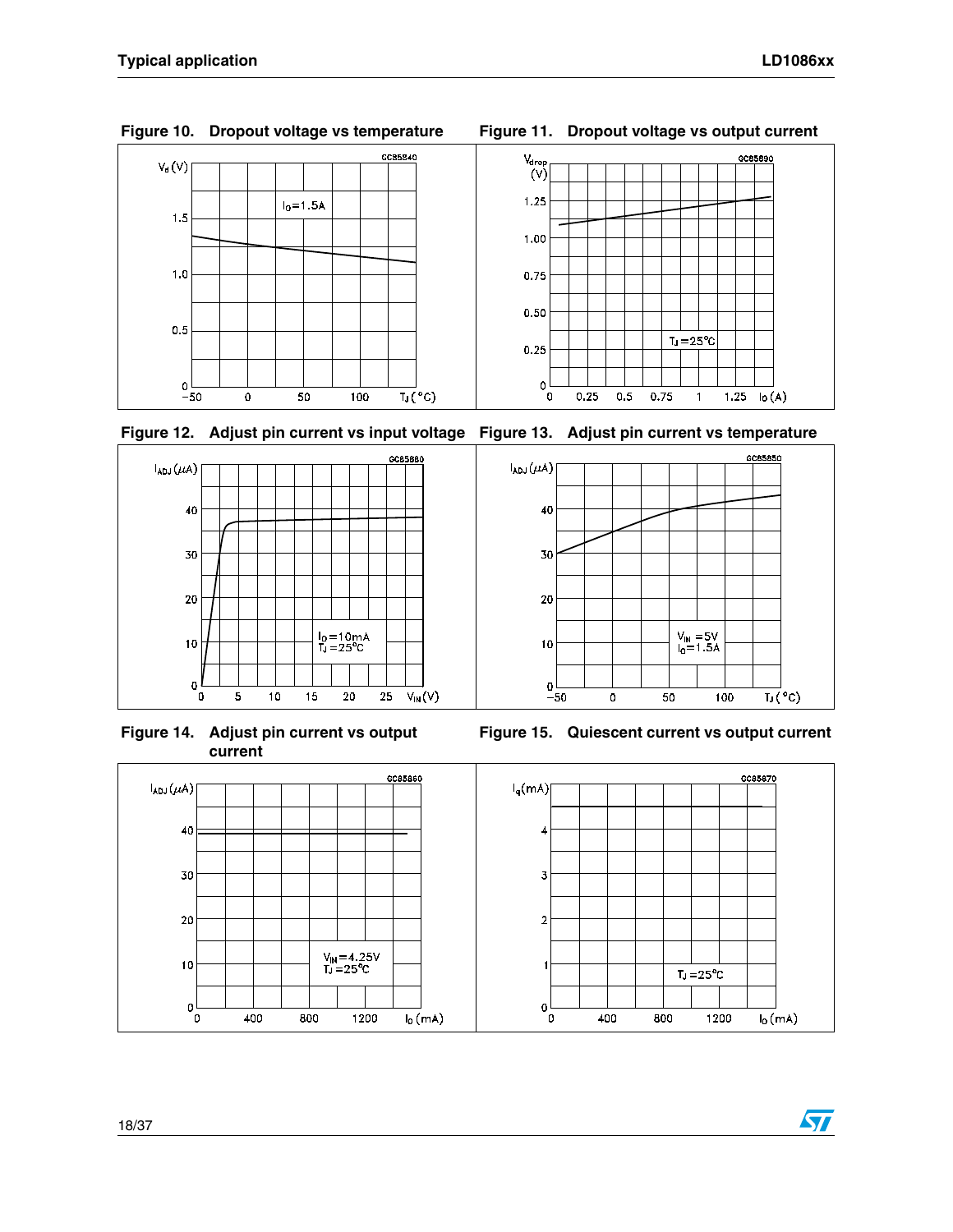





**Figure 14. Adjust pin current vs output current**





**Figure 15. Quiescent current vs output current**

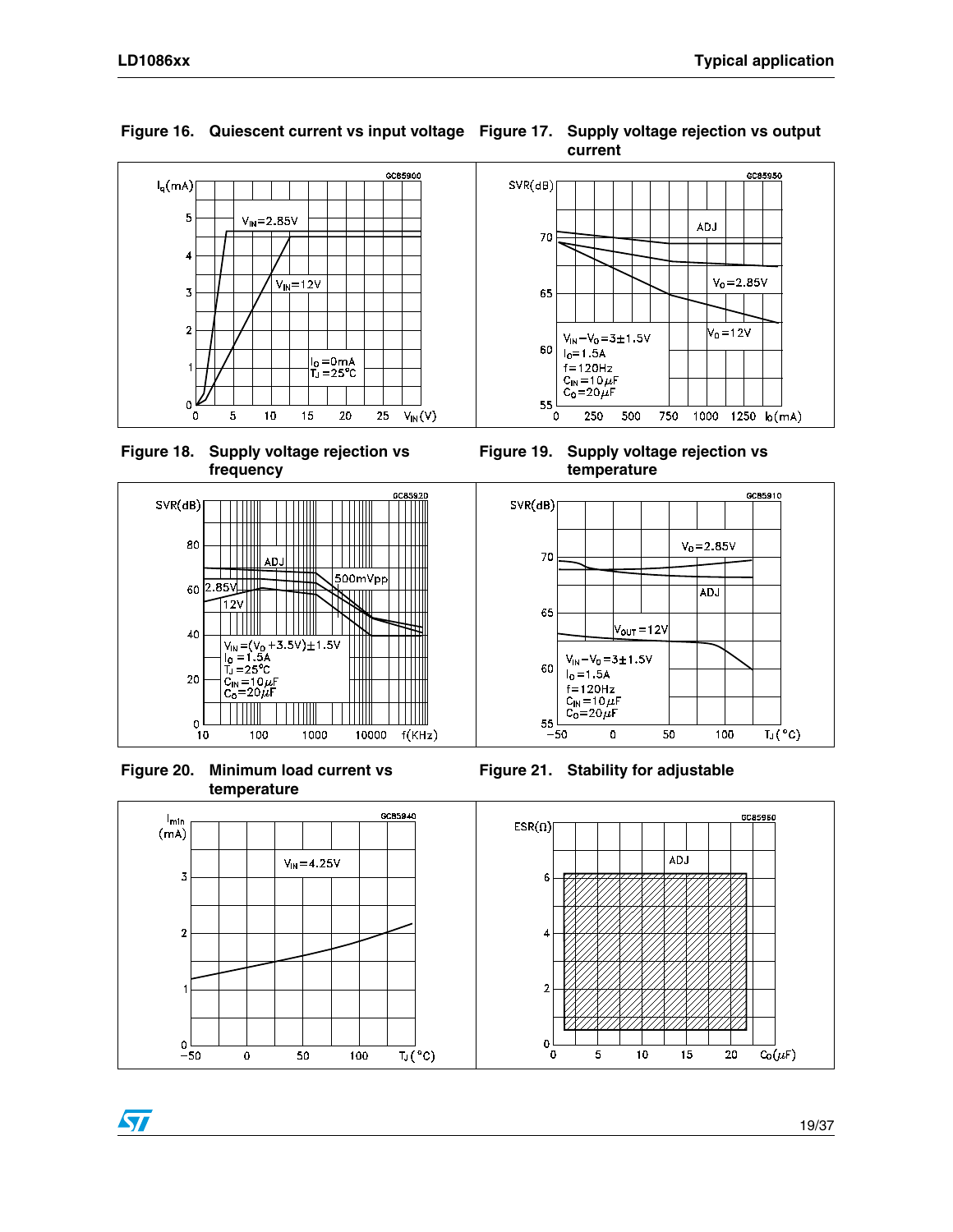

**Figure 16. Quiescent current vs input voltage Figure 17. Supply voltage rejection vs output** 



**Figure 18. Supply voltage rejection vs frequency**



**Figure 20. Minimum load current vs temperature**

ST



**Figure 19. Supply voltage rejection vs temperature**



**Figure 21. Stability for adjustable**

 $C_0(\mu F)$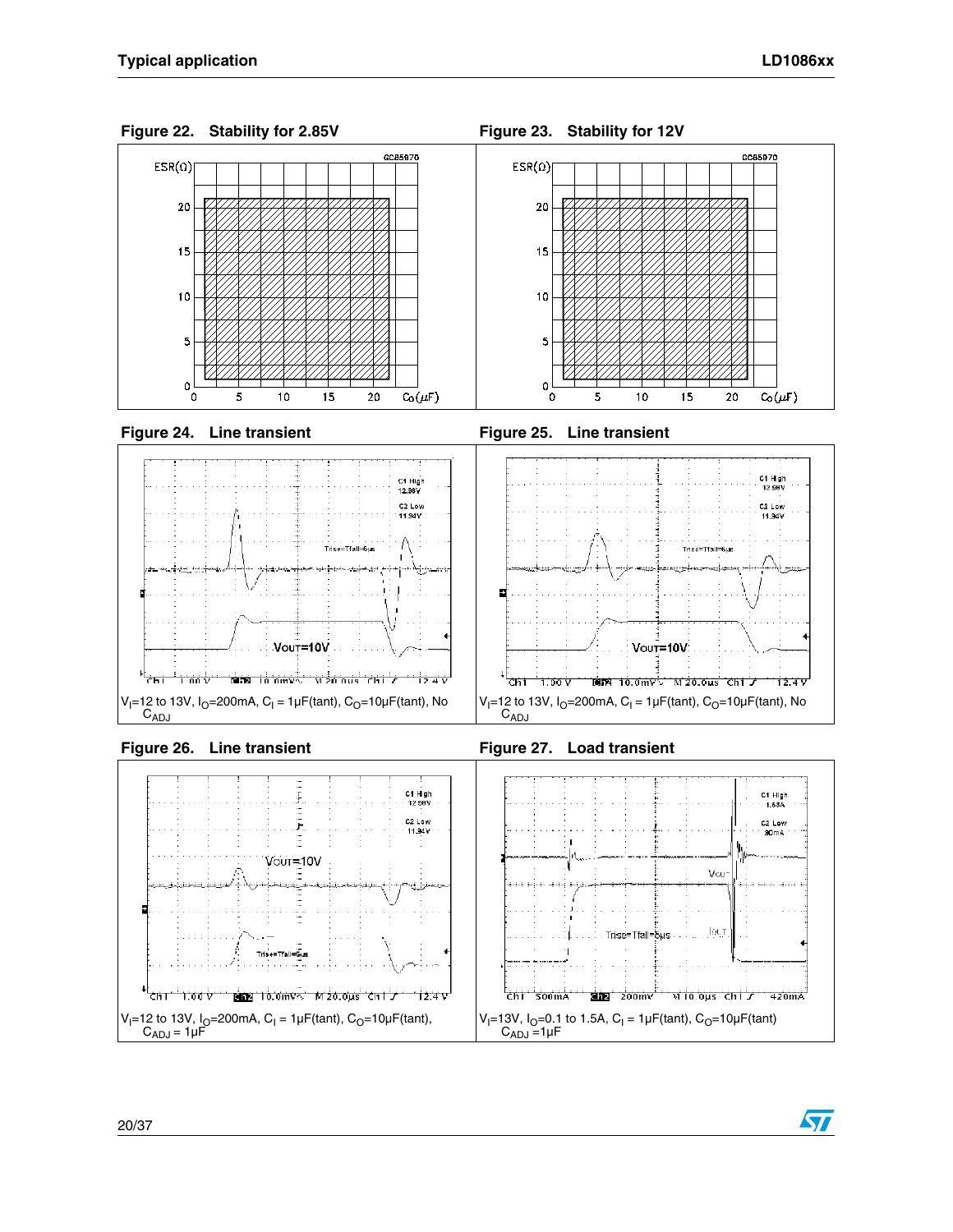



57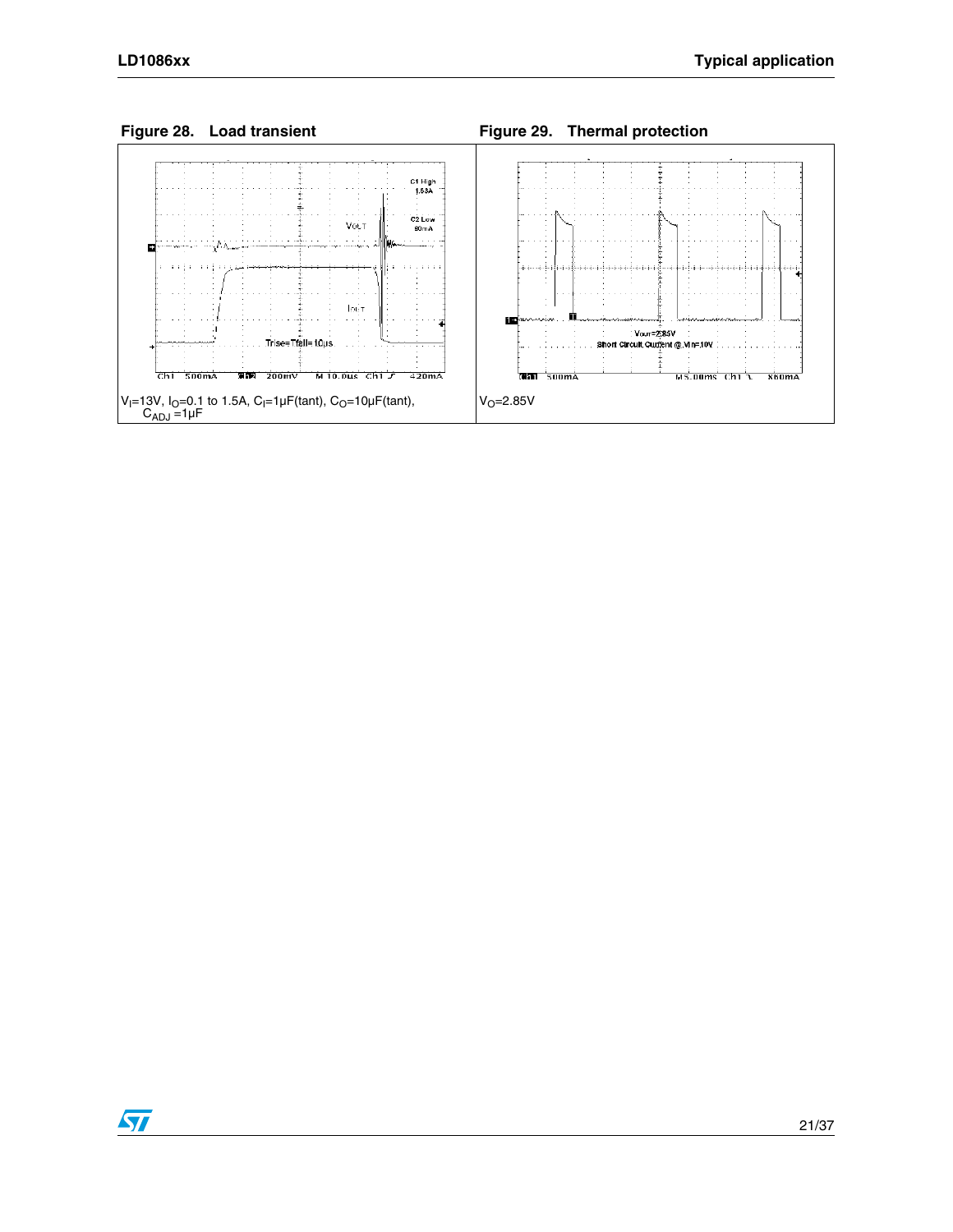

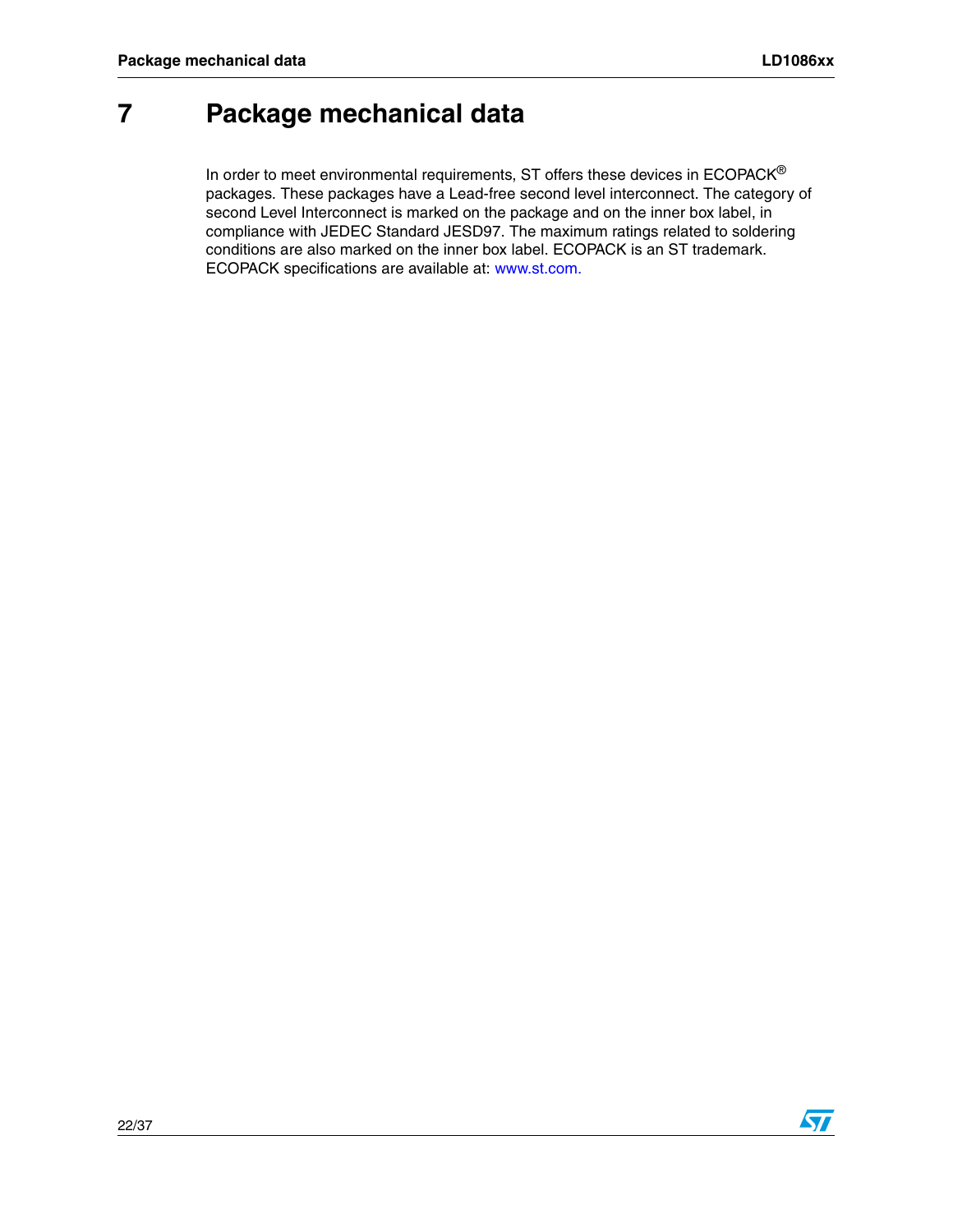ST

### <span id="page-21-0"></span>**7 Package mechanical data**

In order to meet environmental requirements, ST offers these devices in  $ECOPACK^{\circledcirc}$ packages. These packages have a Lead-free second level interconnect. The category of second Level Interconnect is marked on the package and on the inner box label, in compliance with JEDEC Standard JESD97. The maximum ratings related to soldering conditions are also marked on the inner box label. ECOPACK is an ST trademark. ECOPACK specifications are available at: www.st.com.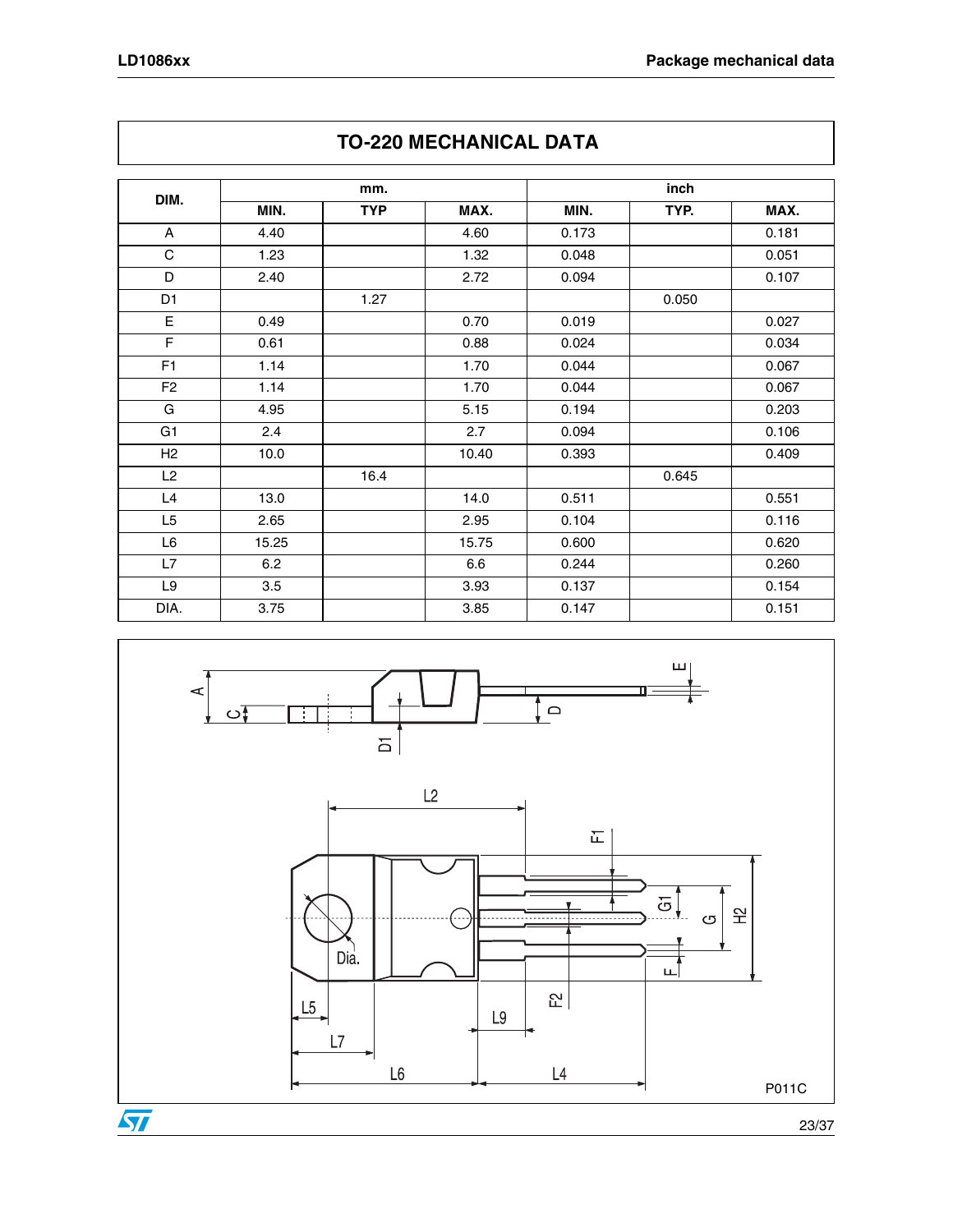|                |       | mm.        |       |       | inch  |       |
|----------------|-------|------------|-------|-------|-------|-------|
| DIM.           | MIN.  | <b>TYP</b> | MAX.  | MIN.  | TYP.  | MAX.  |
| A              | 4.40  |            | 4.60  | 0.173 |       | 0.181 |
| $\mathbf C$    | 1.23  |            | 1.32  | 0.048 |       | 0.051 |
| D              | 2.40  |            | 2.72  | 0.094 |       | 0.107 |
| D <sub>1</sub> |       | 1.27       |       |       | 0.050 |       |
| E              | 0.49  |            | 0.70  | 0.019 |       | 0.027 |
| F              | 0.61  |            | 0.88  | 0.024 |       | 0.034 |
| F <sub>1</sub> | 1.14  |            | 1.70  | 0.044 |       | 0.067 |
| F <sub>2</sub> | 1.14  |            | 1.70  | 0.044 |       | 0.067 |
| G              | 4.95  |            | 5.15  | 0.194 |       | 0.203 |
| G <sub>1</sub> | 2.4   |            | 2.7   | 0.094 |       | 0.106 |
| H2             | 10.0  |            | 10.40 | 0.393 |       | 0.409 |
| L2             |       | 16.4       |       |       | 0.645 |       |
| L4             | 13.0  |            | 14.0  | 0.511 |       | 0.551 |
| L <sub>5</sub> | 2.65  |            | 2.95  | 0.104 |       | 0.116 |
| L6             | 15.25 |            | 15.75 | 0.600 |       | 0.620 |
| L7             | 6.2   |            | 6.6   | 0.244 |       | 0.260 |
| L9             | 3.5   |            | 3.93  | 0.137 |       | 0.154 |
| DIA.           | 3.75  |            | 3.85  | 0.147 |       | 0.151 |





23/37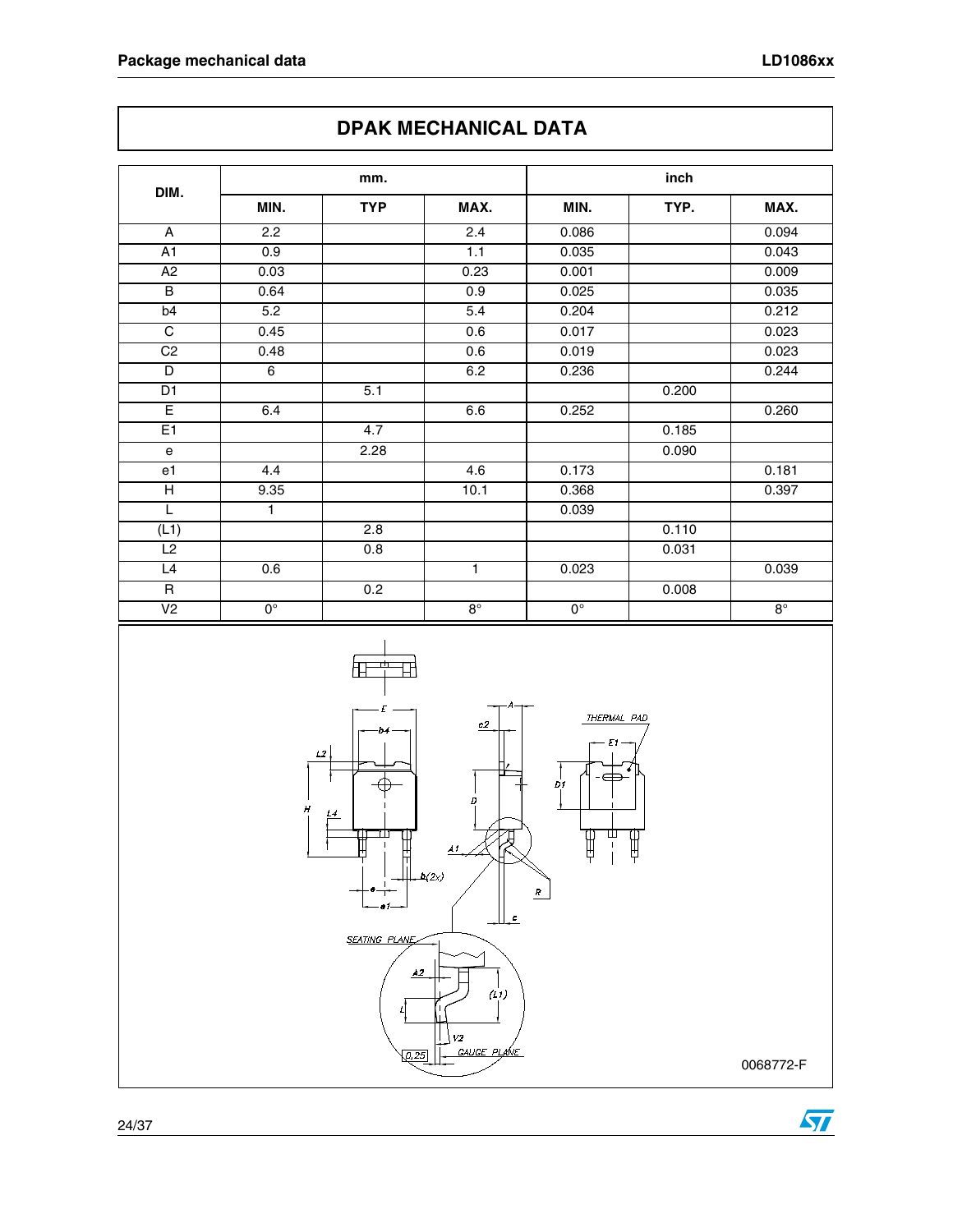### **DPAK MECHANICAL DATA**

| DIM.            | mm.              |            |                  | inch        |       |           |  |
|-----------------|------------------|------------|------------------|-------------|-------|-----------|--|
|                 | MIN.             | <b>TYP</b> | MAX.             | MIN.        | TYP.  | MAX.      |  |
| A               | 2.2              |            | 2.4              | 0.086       |       | 0.094     |  |
| $\overline{A1}$ | $\overline{0.9}$ |            | 1.1              | 0.035       |       | 0.043     |  |
| A2              | 0.03             |            | 0.23             | 0.001       |       | 0.009     |  |
| $\overline{B}$  | 0.64             |            | 0.9              | 0.025       |       | 0.035     |  |
| b4              | 5.2              |            | $\overline{5.4}$ | 0.204       |       | 0.212     |  |
| C               | 0.45             |            | 0.6              | 0.017       |       | 0.023     |  |
| C <sub>2</sub>  | 0.48             |            | 0.6              | 0.019       |       | 0.023     |  |
| D               | 6                |            | 6.2              | 0.236       |       | 0.244     |  |
| D <sub>1</sub>  |                  | 5.1        |                  |             | 0.200 |           |  |
| Ē               | 6.4              |            | 6.6              | 0.252       |       | 0.260     |  |
| E1              |                  | 4.7        |                  |             | 0.185 |           |  |
| $\mathbf{e}$    |                  | 2.28       |                  |             | 0.090 |           |  |
| e1              | 4.4              |            | 4.6              | 0.173       |       | 0.181     |  |
| $\overline{H}$  | 9.35             |            | 10.1             | 0.368       |       | 0.397     |  |
| L               | 1                |            |                  | 0.039       |       |           |  |
| (L1)            |                  | 2.8        |                  |             | 0.110 |           |  |
| $\overline{L2}$ |                  | 0.8        |                  |             | 0.031 |           |  |
| L4              | 0.6              |            | $\mathbf{1}$     | 0.023       |       | 0.039     |  |
| $\mathsf R$     |                  | 0.2        |                  |             | 0.008 |           |  |
| V <sub>2</sub>  | $0^{\circ}$      |            | $8^\circ$        | $0^{\circ}$ |       | $8^\circ$ |  |



 $\sqrt{2}$ 

0068772-F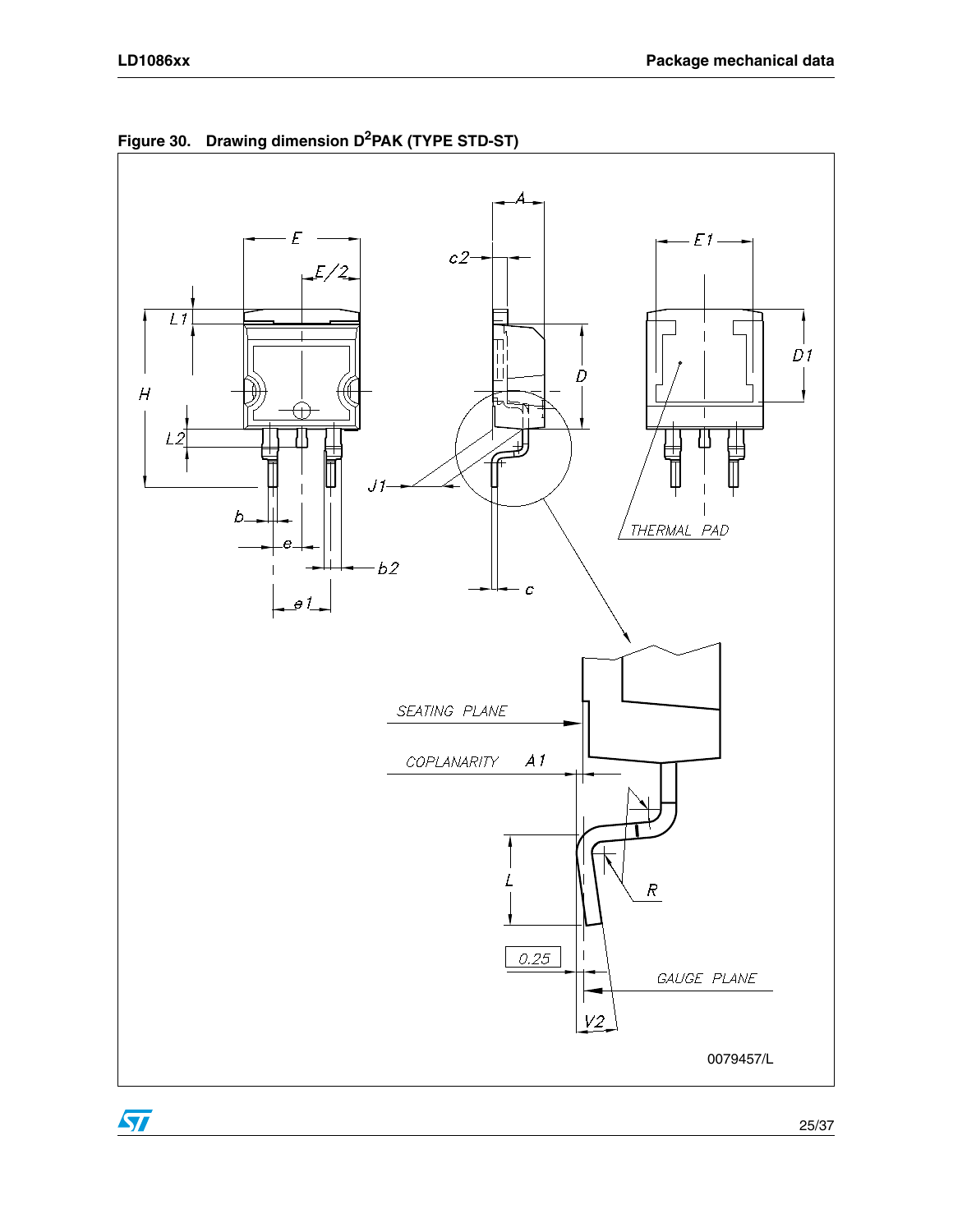

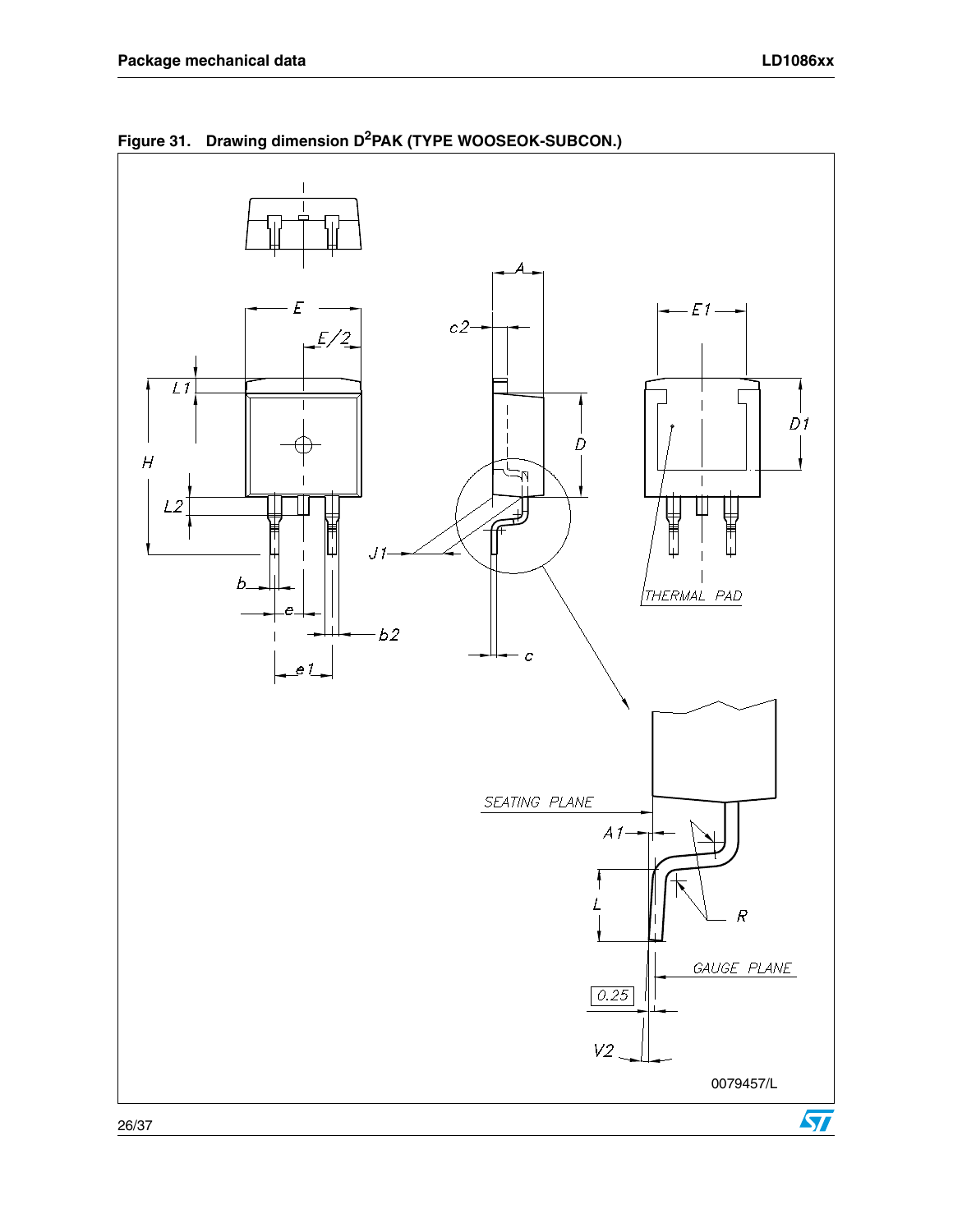

**Figure 31. Drawing dimension D2PAK (TYPE WOOSEOK-SUBCON.)**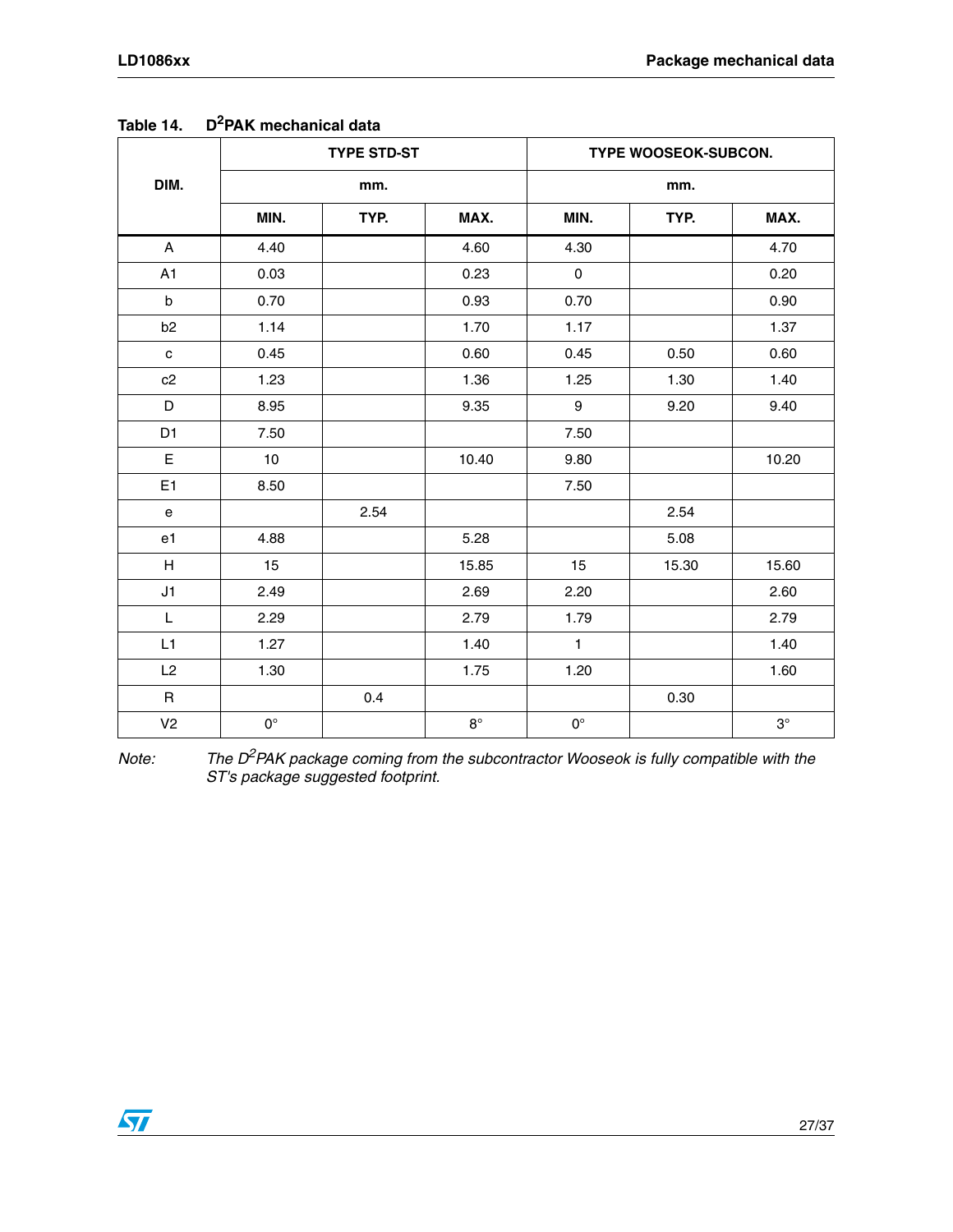|                                            |                 | <b>TYPE STD-ST</b> |             |                  | TYPE WOOSEOK-SUBCON. |           |
|--------------------------------------------|-----------------|--------------------|-------------|------------------|----------------------|-----------|
| DIM.                                       |                 | mm.                |             |                  | mm.                  |           |
|                                            | MIN.            | TYP.               | MAX.        | MIN.             | TYP.                 | MAX.      |
| A                                          | 4.40            |                    | 4.60        | 4.30             |                      | 4.70      |
| A1                                         | 0.03            |                    | 0.23        | $\mathbf 0$      |                      | 0.20      |
| $\sf b$                                    | 0.70            |                    | 0.93        | 0.70             |                      | 0.90      |
| b <sub>2</sub>                             | 1.14            |                    | 1.70        | 1.17             |                      | 1.37      |
| $\mathbf c$                                | 0.45            |                    | 0.60        | 0.45             | 0.50                 | 0.60      |
| c2                                         | 1.23            |                    | 1.36        | 1.25             | 1.30                 | 1.40      |
| D                                          | 8.95            |                    | 9.35        | $\boldsymbol{9}$ | 9.20                 | 9.40      |
| D <sub>1</sub>                             | 7.50            |                    |             | 7.50             |                      |           |
| E                                          | 10 <sup>1</sup> |                    | 10.40       | 9.80             |                      | 10.20     |
| E1                                         | 8.50            |                    |             | 7.50             |                      |           |
| $\mathsf{e}% _{0}\left( \mathsf{e}\right)$ |                 | 2.54               |             |                  | 2.54                 |           |
| e1                                         | 4.88            |                    | 5.28        |                  | 5.08                 |           |
| $\boldsymbol{\mathsf{H}}$                  | 15              |                    | 15.85       | 15               | 15.30                | 15.60     |
| J1                                         | 2.49            |                    | 2.69        | 2.20             |                      | 2.60      |
| L                                          | 2.29            |                    | 2.79        | 1.79             |                      | 2.79      |
| L1                                         | 1.27            |                    | 1.40        | $\mathbf{1}$     |                      | 1.40      |
| L2                                         | 1.30            |                    | 1.75        | 1.20             |                      | 1.60      |
| $\mathsf R$                                |                 | 0.4                |             |                  | 0.30                 |           |
| V <sub>2</sub>                             | $0^{\circ}$     |                    | $8^{\circ}$ | $0^{\circ}$      |                      | $3^\circ$ |

### **Table 14. D2PAK mechanical data**

*Note: The D2PAK package coming from the subcontractor Wooseok is fully compatible with the ST's package suggested footprint.*

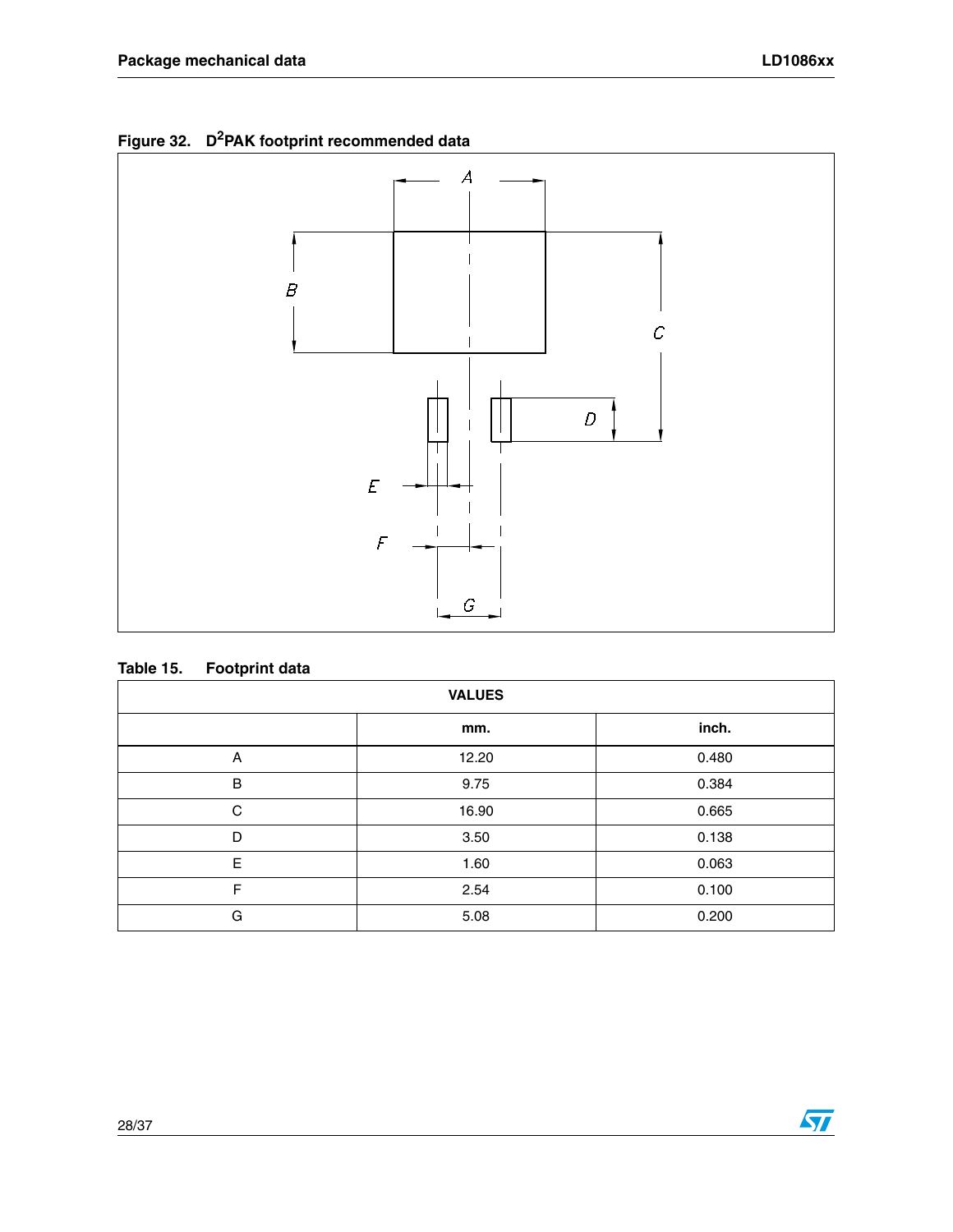



#### **Table 15. Footprint data**

| <b>VALUES</b> |       |       |  |  |  |  |  |
|---------------|-------|-------|--|--|--|--|--|
|               | mm.   | inch. |  |  |  |  |  |
| Α             | 12.20 | 0.480 |  |  |  |  |  |
| $\sf B$       | 9.75  | 0.384 |  |  |  |  |  |
| C             | 16.90 | 0.665 |  |  |  |  |  |
| D             | 3.50  | 0.138 |  |  |  |  |  |
| E             | 1.60  | 0.063 |  |  |  |  |  |
| F             | 2.54  | 0.100 |  |  |  |  |  |
| G             | 5.08  | 0.200 |  |  |  |  |  |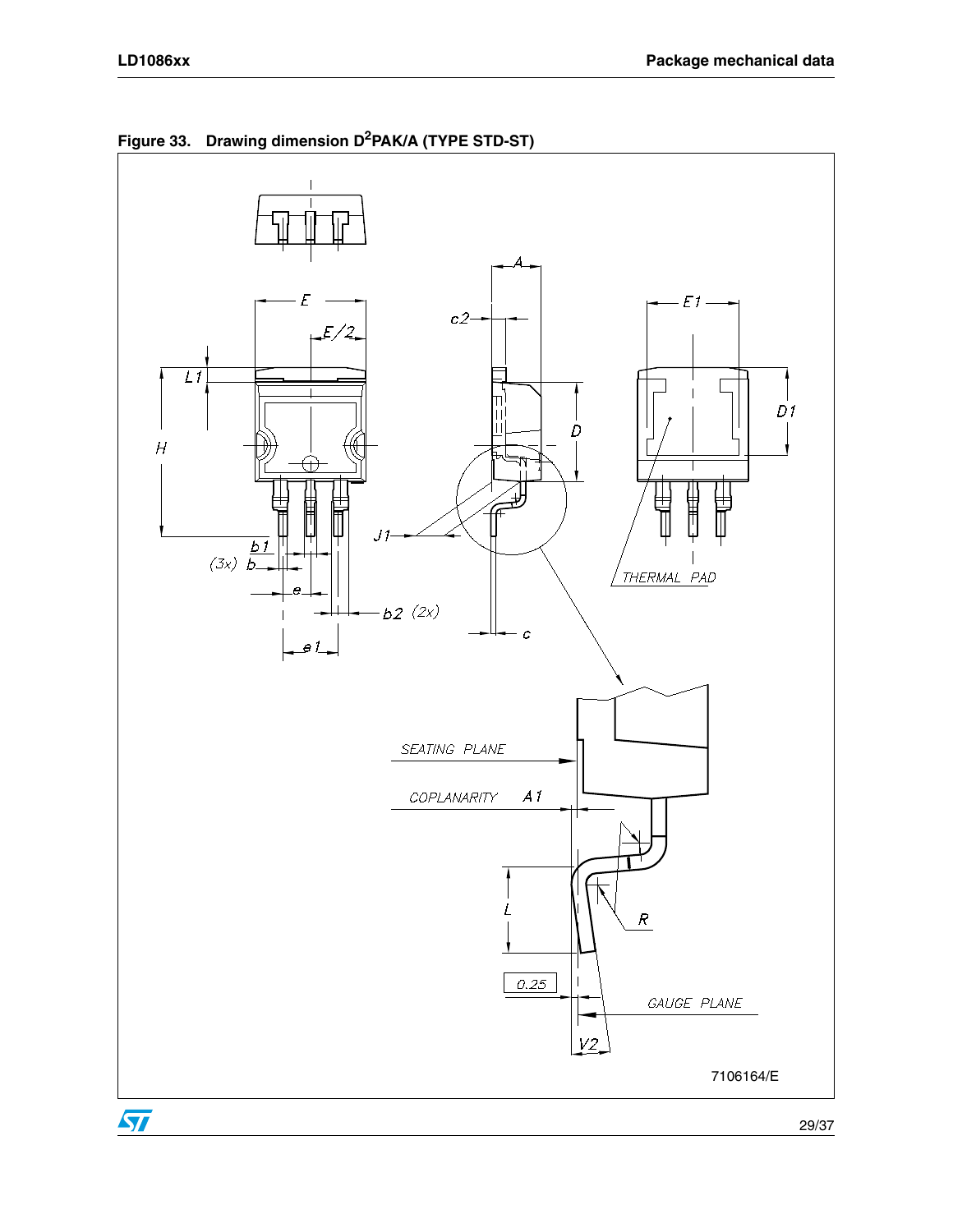



29/37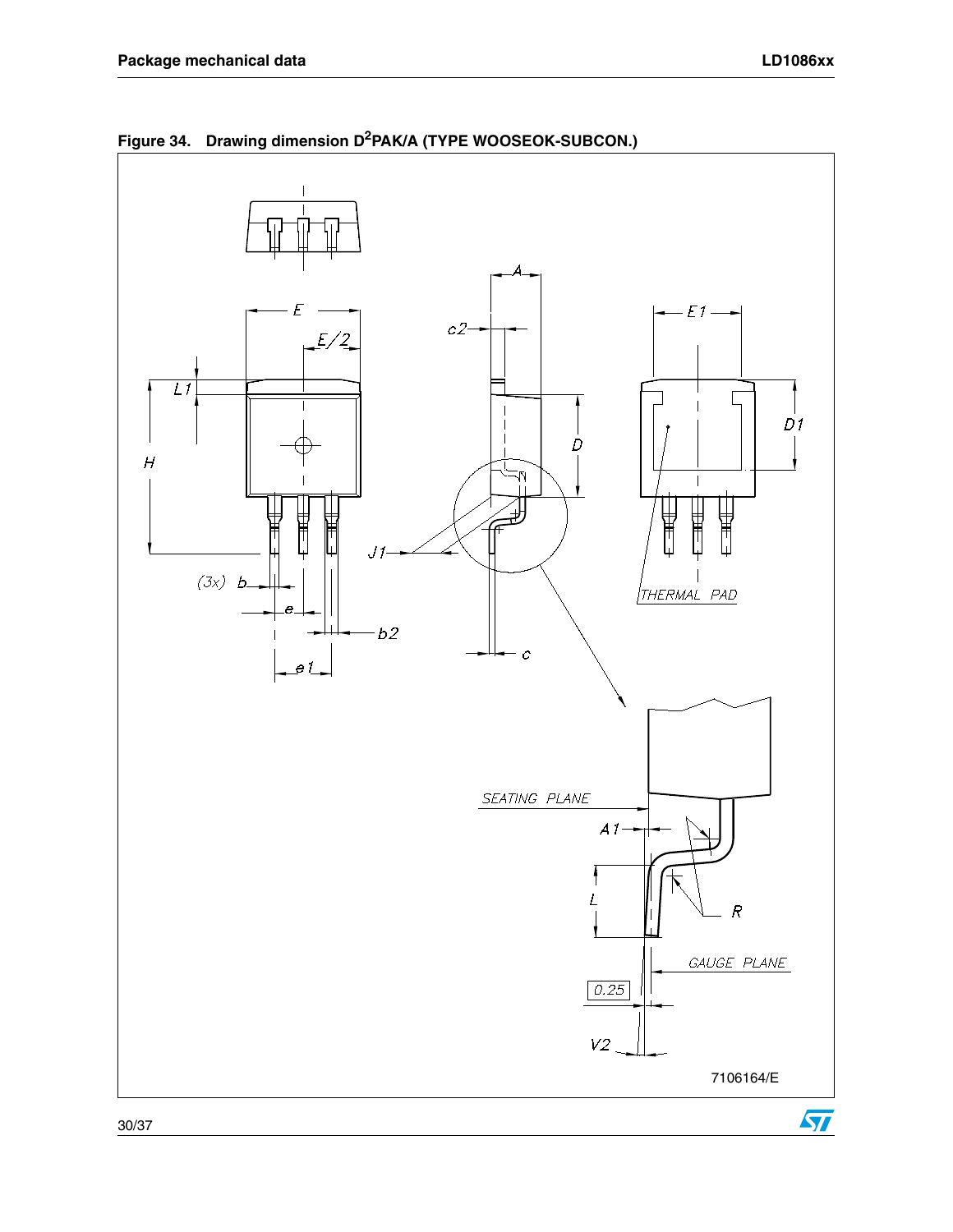

**Figure 34. Drawing dimension D2PAK/A (TYPE WOOSEOK-SUBCON.)**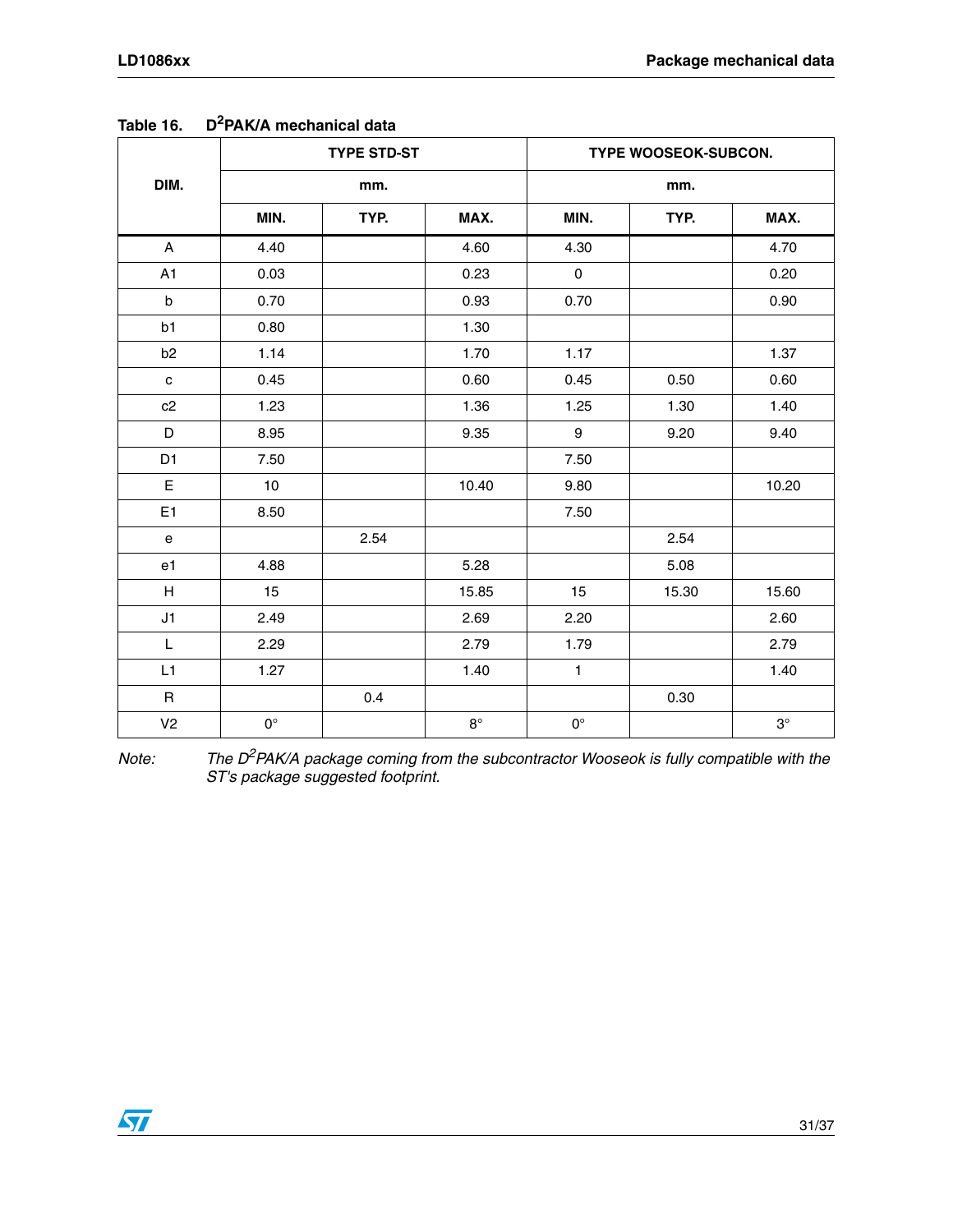|                                            |             | <b>TYPE STD-ST</b> |             |                     | TYPE WOOSEOK-SUBCON. |           |
|--------------------------------------------|-------------|--------------------|-------------|---------------------|----------------------|-----------|
| DIM.                                       |             | mm.                |             |                     | mm.                  |           |
|                                            | MIN.        | TYP.               | MAX.        | MIN.                | TYP.                 | MAX.      |
| A                                          | 4.40        |                    | 4.60        | 4.30                |                      | 4.70      |
| A1                                         | 0.03        |                    | 0.23        | $\mathsf{O}\xspace$ |                      | 0.20      |
| $\sf b$                                    | 0.70        |                    | 0.93        | 0.70                |                      | 0.90      |
| b1                                         | 0.80        |                    | 1.30        |                     |                      |           |
| b <sub>2</sub>                             | 1.14        |                    | 1.70        | 1.17                |                      | 1.37      |
| $\mathbf c$                                | 0.45        |                    | 0.60        | 0.45                | 0.50                 | 0.60      |
| c2                                         | 1.23        |                    | 1.36        | 1.25                | 1.30                 | 1.40      |
| D                                          | 8.95        |                    | 9.35        | 9                   | 9.20                 | 9.40      |
| D <sub>1</sub>                             | 7.50        |                    |             | 7.50                |                      |           |
| E                                          | 10          |                    | 10.40       | 9.80                |                      | 10.20     |
| E <sub>1</sub>                             | 8.50        |                    |             | 7.50                |                      |           |
| $\mathsf{e}% _{0}\left( \mathsf{e}\right)$ |             | 2.54               |             |                     | 2.54                 |           |
| e <sub>1</sub>                             | 4.88        |                    | 5.28        |                     | 5.08                 |           |
| H                                          | 15          |                    | 15.85       | 15                  | 15.30                | 15.60     |
| J1                                         | 2.49        |                    | 2.69        | 2.20                |                      | 2.60      |
| L                                          | 2.29        |                    | 2.79        | 1.79                |                      | 2.79      |
| L1                                         | 1.27        |                    | 1.40        | $\mathbf{1}$        |                      | 1.40      |
| $\mathsf{R}$                               |             | 0.4                |             |                     | 0.30                 |           |
| V <sub>2</sub>                             | $0^{\circ}$ |                    | $8^{\circ}$ | $0^{\circ}$         |                      | $3^\circ$ |

**Table 16. D2PAK/A mechanical data**

*Note: The D2PAK/A package coming from the subcontractor Wooseok is fully compatible with the ST's package suggested footprint.*

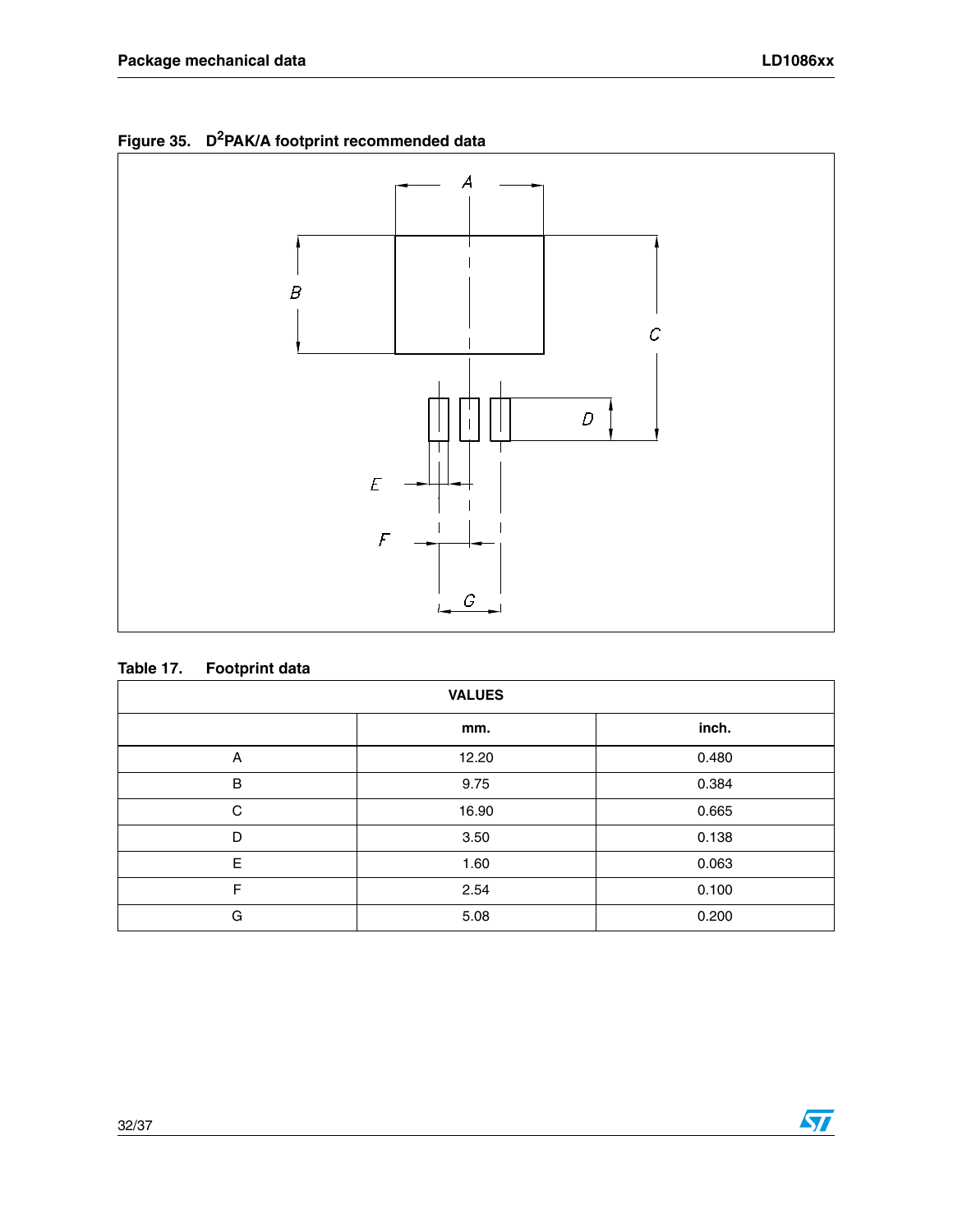



#### **Table 17. Footprint data**

| <b>VALUES</b> |       |       |  |  |  |  |  |
|---------------|-------|-------|--|--|--|--|--|
|               | mm.   | inch. |  |  |  |  |  |
| Α             | 12.20 | 0.480 |  |  |  |  |  |
| $\sf B$       | 9.75  | 0.384 |  |  |  |  |  |
| C             | 16.90 | 0.665 |  |  |  |  |  |
| D             | 3.50  | 0.138 |  |  |  |  |  |
| E             | 1.60  | 0.063 |  |  |  |  |  |
| F             | 2.54  | 0.100 |  |  |  |  |  |
| G             | 5.08  | 0.200 |  |  |  |  |  |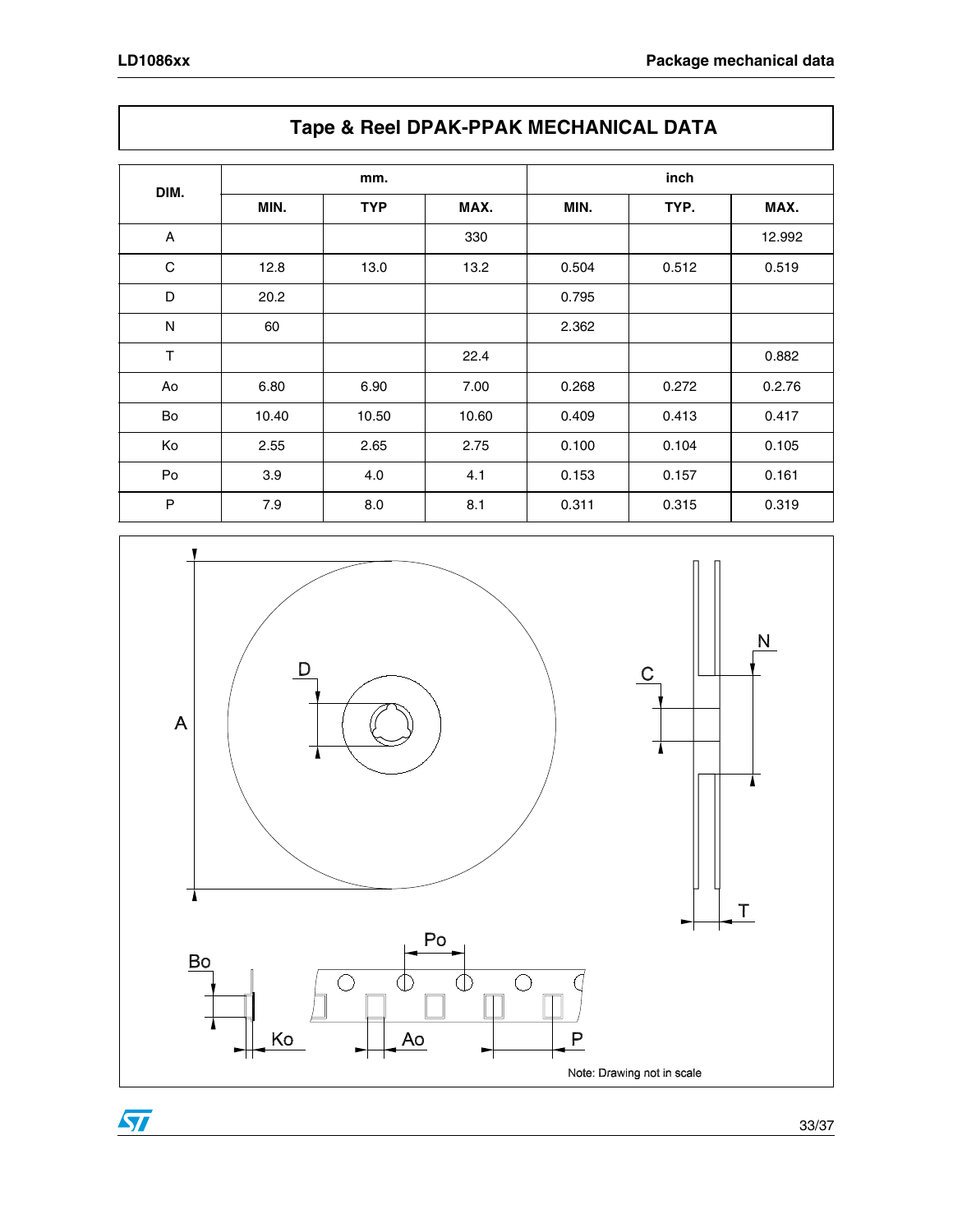| DIM.         | mm.   |            |       | inch  |       |        |
|--------------|-------|------------|-------|-------|-------|--------|
|              | MIN.  | <b>TYP</b> | MAX.  | MIN.  | TYP.  | MAX.   |
| $\mathsf{A}$ |       |            | 330   |       |       | 12.992 |
| $\mathbf C$  | 12.8  | 13.0       | 13.2  | 0.504 | 0.512 | 0.519  |
| D            | 20.2  |            |       | 0.795 |       |        |
| ${\sf N}$    | 60    |            |       | 2.362 |       |        |
| $\top$       |       |            | 22.4  |       |       | 0.882  |
| Ao           | 6.80  | 6.90       | 7.00  | 0.268 | 0.272 | 0.2.76 |
| Bo           | 10.40 | 10.50      | 10.60 | 0.409 | 0.413 | 0.417  |
| Ko           | 2.55  | 2.65       | 2.75  | 0.100 | 0.104 | 0.105  |
| Po           | 3.9   | 4.0        | 4.1   | 0.153 | 0.157 | 0.161  |
| P            | 7.9   | 8.0        | 8.1   | 0.311 | 0.315 | 0.319  |

**Tape & Reel DPAK-PPAK MECHANICAL DATA**

### $\mathsf{N}$  $\mathsf{D}%$  $\mathsf C$  $\overline{A}$  $\mathbf I$  $\mathbf{A}$ 7  $\mathsf T$  $P<sub>O</sub>$ Bo  $\overline{\bigcirc}$  $\overline{\Phi}$  $\overline{\Phi}$  $\bigcirc$  $\Box$  $\mathbb{H}$  $\mathsf{P}$  $A<sub>o</sub>$ Ko  $\blacksquare$

 $\sqrt{2}$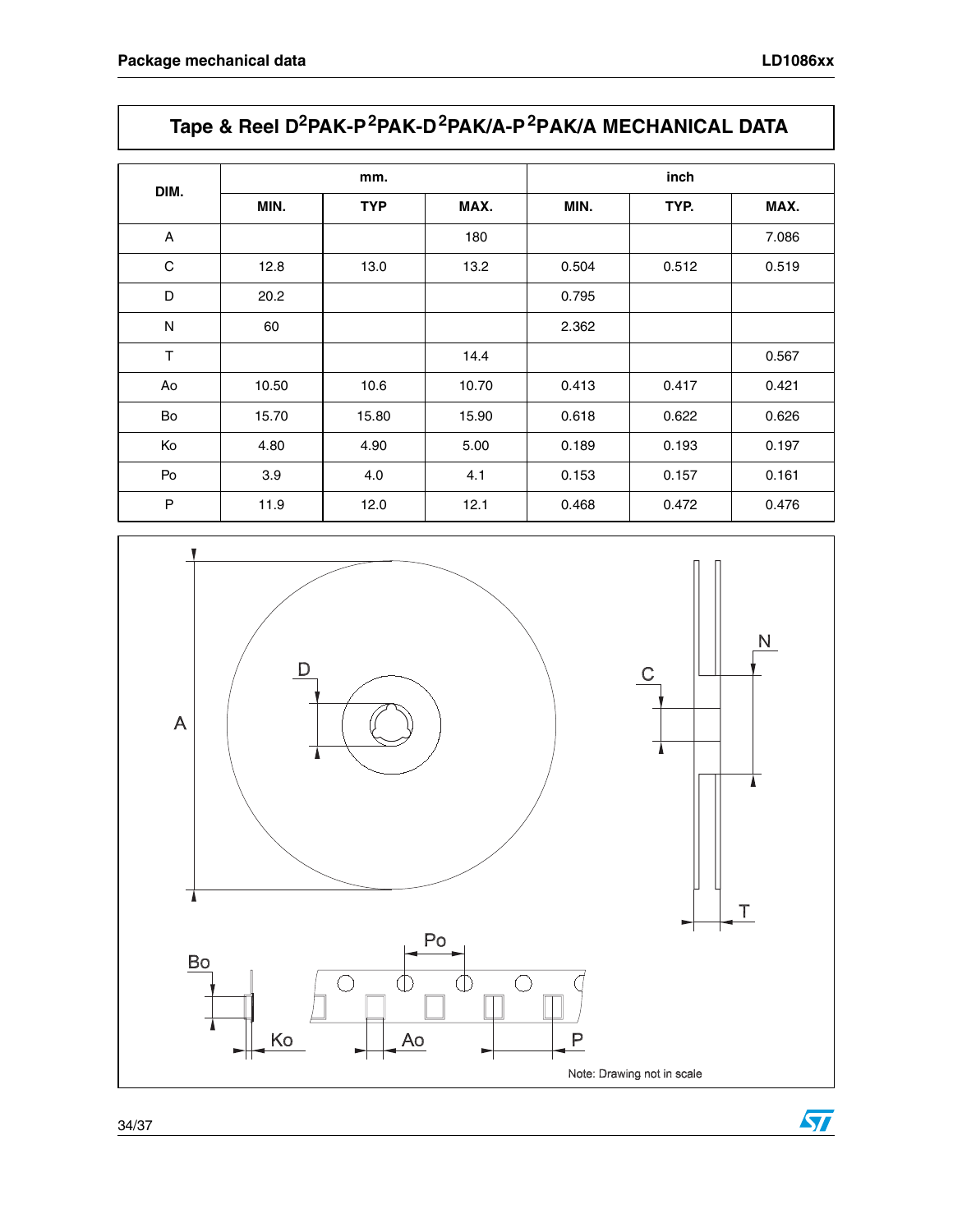# **Tape & Reel D2PAK-P2PAK-D2PAK/A-P2PAK/A MECHANICAL DATA**

| DIM.           | mm.   |            |       | inch  |       |       |
|----------------|-------|------------|-------|-------|-------|-------|
|                | MIN.  | <b>TYP</b> | MAX.  | MIN.  | TYP.  | MAX.  |
| $\overline{A}$ |       |            | 180   |       |       | 7.086 |
| C              | 12.8  | 13.0       | 13.2  | 0.504 | 0.512 | 0.519 |
| D              | 20.2  |            |       | 0.795 |       |       |
| N              | 60    |            |       | 2.362 |       |       |
| T              |       |            | 14.4  |       |       | 0.567 |
| Ao             | 10.50 | 10.6       | 10.70 | 0.413 | 0.417 | 0.421 |
| Bo             | 15.70 | 15.80      | 15.90 | 0.618 | 0.622 | 0.626 |
| Ko             | 4.80  | 4.90       | 5.00  | 0.189 | 0.193 | 0.197 |
| Po             | 3.9   | 4.0        | 4.1   | 0.153 | 0.157 | 0.161 |
| P              | 11.9  | 12.0       | 12.1  | 0.468 | 0.472 | 0.476 |



34/37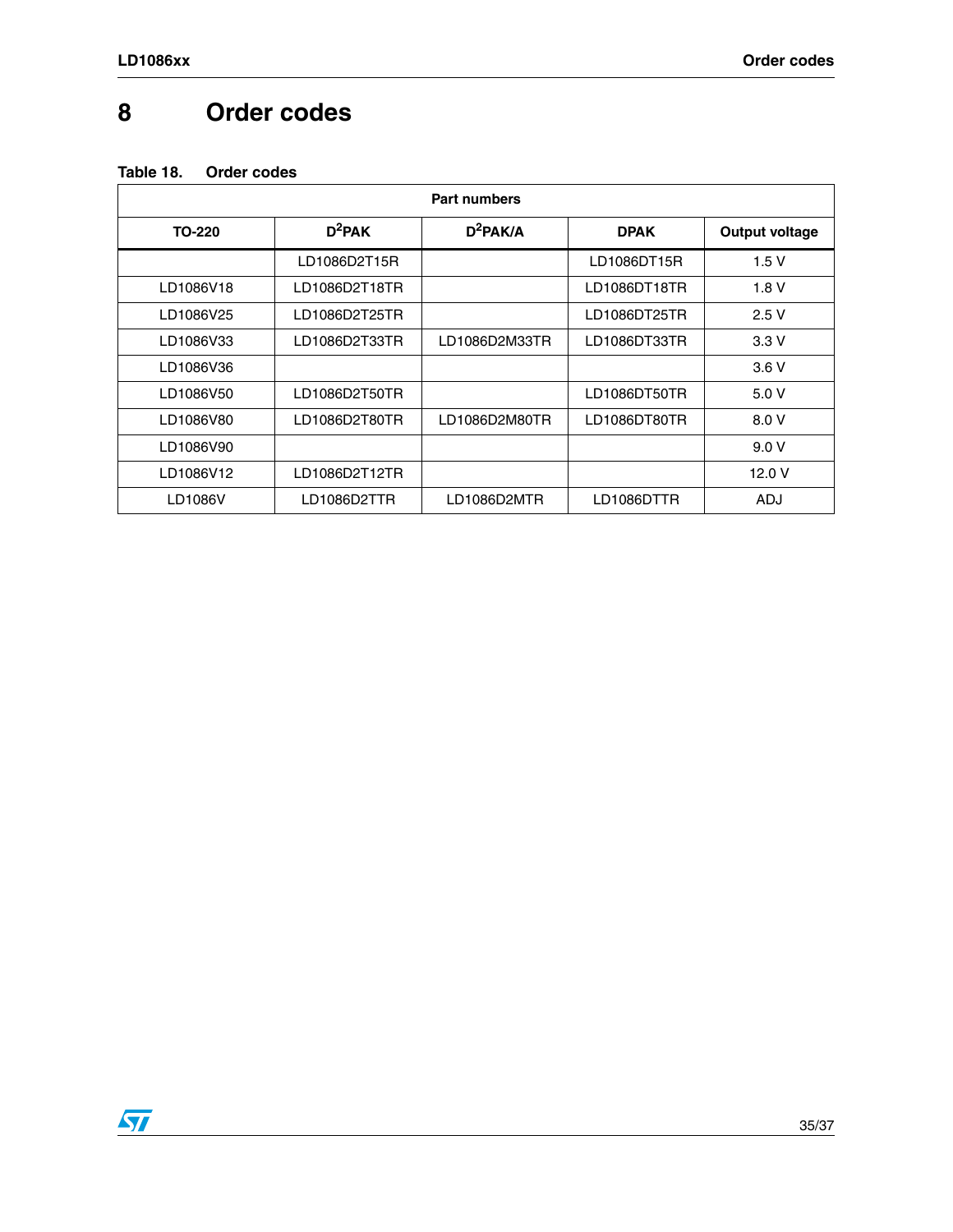### <span id="page-34-0"></span>**8 Order codes**

| <b>Part numbers</b> |               |               |              |                       |  |
|---------------------|---------------|---------------|--------------|-----------------------|--|
| TO-220              | $D^2$ PAK     | $D^2$ PAK/A   | <b>DPAK</b>  | <b>Output voltage</b> |  |
|                     | LD1086D2T15R  |               | LD1086DT15R  | 1.5V                  |  |
| LD1086V18           | LD1086D2T18TR |               | LD1086DT18TR | 1.8V                  |  |
| LD1086V25           | LD1086D2T25TR |               | LD1086DT25TR | 2.5V                  |  |
| LD1086V33           | LD1086D2T33TR | LD1086D2M33TR | LD1086DT33TR | 3.3V                  |  |
| LD1086V36           |               |               |              | 3.6V                  |  |
| LD1086V50           | LD1086D2T50TR |               | LD1086DT50TR | 5.0V                  |  |
| LD1086V80           | LD1086D2T80TR | LD1086D2M80TR | LD1086DT80TR | 8.0 V                 |  |
| LD1086V90           |               |               |              | 9.0V                  |  |
| LD1086V12           | LD1086D2T12TR |               |              | 12.0 V                |  |
| LD1086V             | LD1086D2TTR   | LD1086D2MTR   | LD1086DTTR   | ADJ                   |  |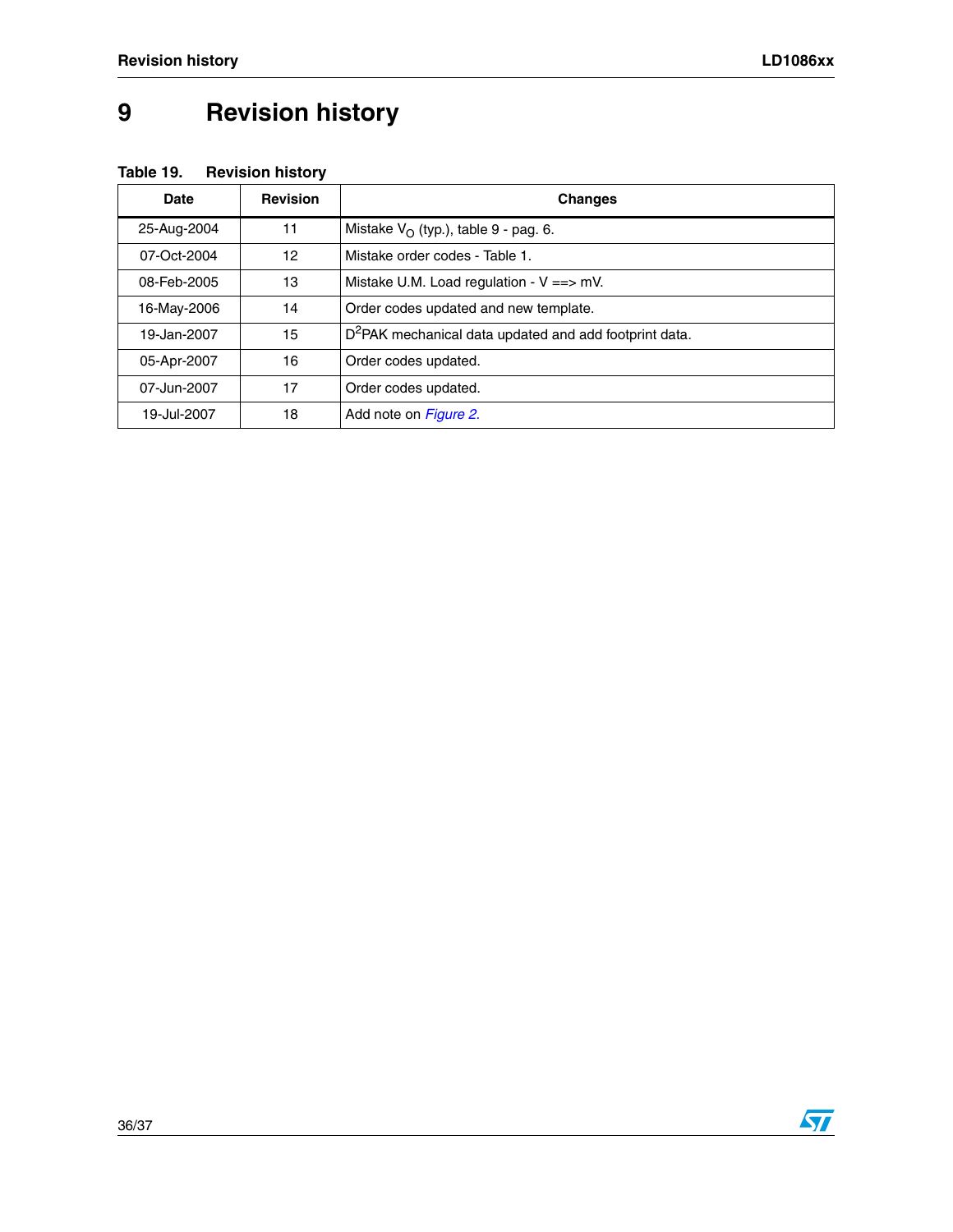# <span id="page-35-0"></span>**9 Revision history**

### **Table 19. Revision history**

| Date        | <b>Revision</b> | <b>Changes</b>                                                     |
|-------------|-----------------|--------------------------------------------------------------------|
| 25-Aug-2004 | 11              | Mistake $V_{\Omega}$ (typ.), table 9 - pag. 6.                     |
| 07-Oct-2004 | 12              | Mistake order codes - Table 1.                                     |
| 08-Feb-2005 | 13              | Mistake U.M. Load regulation - $V = y$ mV.                         |
| 16-May-2006 | 14              | Order codes updated and new template.                              |
| 19-Jan-2007 | 15              | D <sup>2</sup> PAK mechanical data updated and add footprint data. |
| 05-Apr-2007 | 16              | Order codes updated.                                               |
| 07-Jun-2007 | 17              | Order codes updated.                                               |
| 19-Jul-2007 | 18              | Add note on Figure 2.                                              |